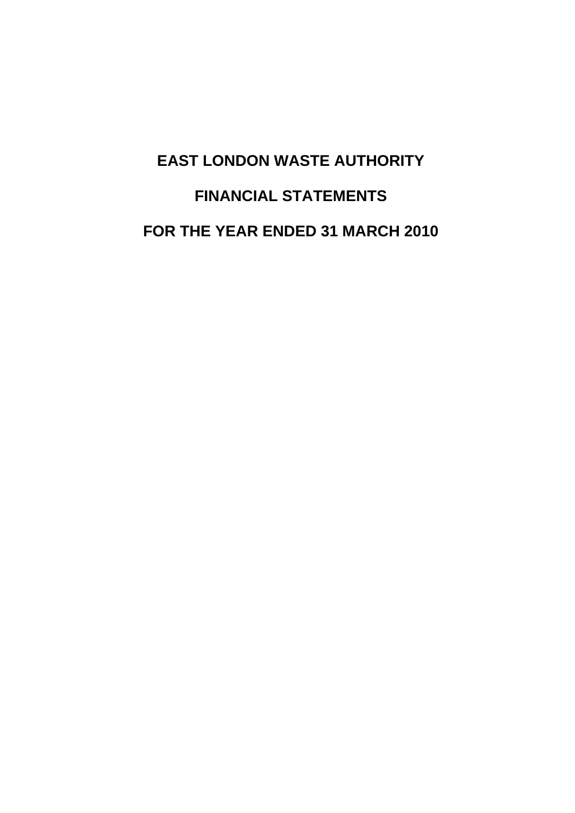# **EAST LONDON WASTE AUTHORITY FINANCIAL STATEMENTS FOR THE YEAR ENDED 31 MARCH 2010**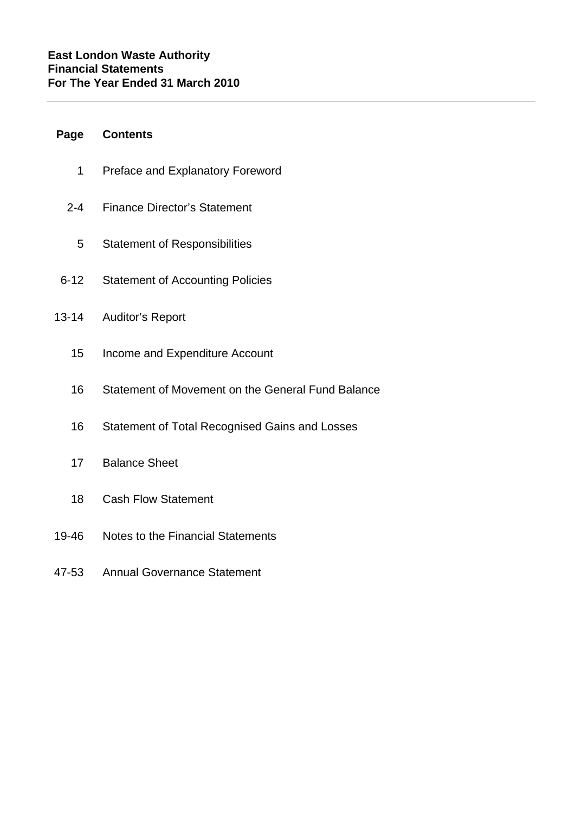### **Page Contents**

- 1 Preface and Explanatory Foreword
- 2-4 Finance Director's Statement
	- 5 Statement of Responsibilities
- 6-12 Statement of Accounting Policies
- 13-14 Auditor's Report
	- 15 Income and Expenditure Account
	- 16 Statement of Movement on the General Fund Balance
	- 16 Statement of Total Recognised Gains and Losses
	- 17 Balance Sheet
	- 18 Cash Flow Statement
- 19-46 Notes to the Financial Statements
- 47-53 Annual Governance Statement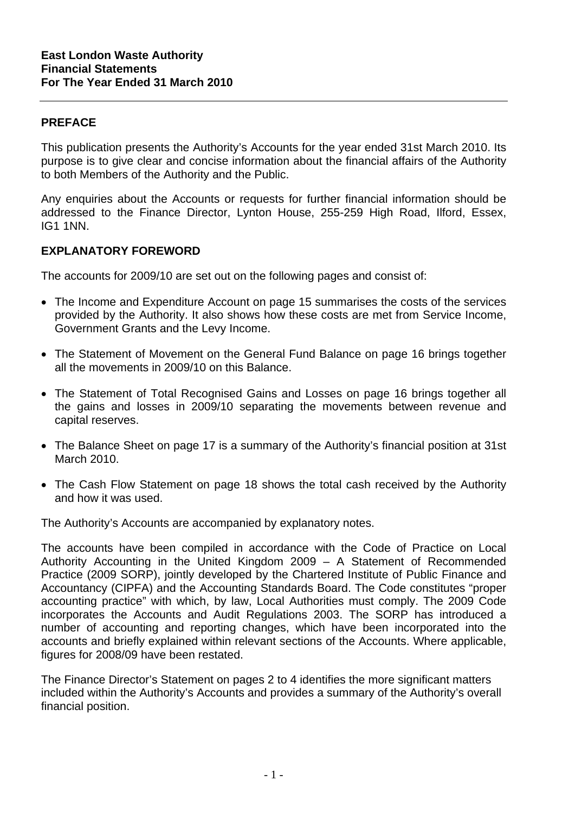### **PREFACE**

This publication presents the Authority's Accounts for the year ended 31st March 2010. Its purpose is to give clear and concise information about the financial affairs of the Authority to both Members of the Authority and the Public.

Any enquiries about the Accounts or requests for further financial information should be addressed to the Finance Director, Lynton House, 255-259 High Road, Ilford, Essex, IG1 1NN.

### **EXPLANATORY FOREWORD**

The accounts for 2009/10 are set out on the following pages and consist of:

- The Income and Expenditure Account on page 15 summarises the costs of the services provided by the Authority. It also shows how these costs are met from Service Income, Government Grants and the Levy Income.
- The Statement of Movement on the General Fund Balance on page 16 brings together all the movements in 2009/10 on this Balance.
- The Statement of Total Recognised Gains and Losses on page 16 brings together all the gains and losses in 2009/10 separating the movements between revenue and capital reserves.
- The Balance Sheet on page 17 is a summary of the Authority's financial position at 31st March 2010.
- The Cash Flow Statement on page 18 shows the total cash received by the Authority and how it was used.

The Authority's Accounts are accompanied by explanatory notes.

The accounts have been compiled in accordance with the Code of Practice on Local Authority Accounting in the United Kingdom 2009 – A Statement of Recommended Practice (2009 SORP), jointly developed by the Chartered Institute of Public Finance and Accountancy (CIPFA) and the Accounting Standards Board. The Code constitutes "proper accounting practice" with which, by law, Local Authorities must comply. The 2009 Code incorporates the Accounts and Audit Regulations 2003. The SORP has introduced a number of accounting and reporting changes, which have been incorporated into the accounts and briefly explained within relevant sections of the Accounts. Where applicable, figures for 2008/09 have been restated.

The Finance Director's Statement on pages 2 to 4 identifies the more significant matters included within the Authority's Accounts and provides a summary of the Authority's overall financial position.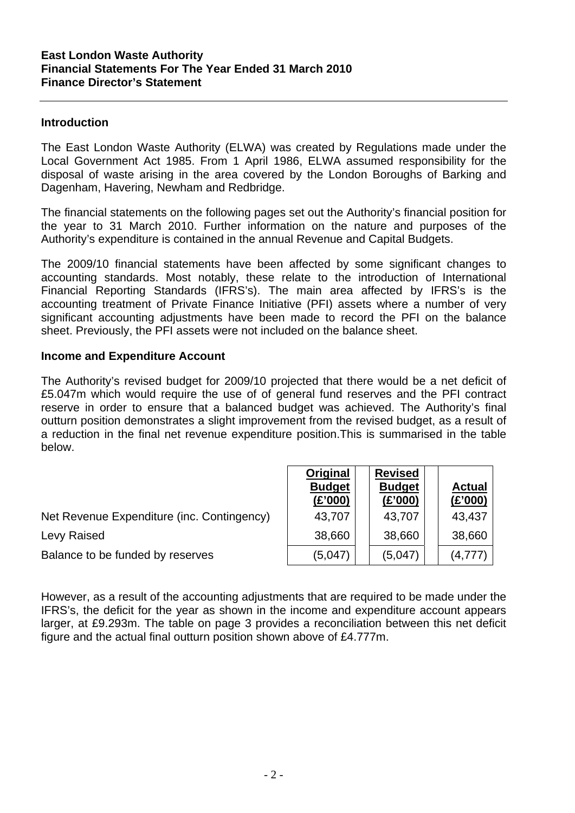### **Introduction**

The East London Waste Authority (ELWA) was created by Regulations made under the Local Government Act 1985. From 1 April 1986, ELWA assumed responsibility for the disposal of waste arising in the area covered by the London Boroughs of Barking and Dagenham, Havering, Newham and Redbridge.

The financial statements on the following pages set out the Authority's financial position for the year to 31 March 2010. Further information on the nature and purposes of the Authority's expenditure is contained in the annual Revenue and Capital Budgets.

The 2009/10 financial statements have been affected by some significant changes to accounting standards. Most notably, these relate to the introduction of International Financial Reporting Standards (IFRS's). The main area affected by IFRS's is the accounting treatment of Private Finance Initiative (PFI) assets where a number of very significant accounting adjustments have been made to record the PFI on the balance sheet. Previously, the PFI assets were not included on the balance sheet.

### **Income and Expenditure Account**

The Authority's revised budget for 2009/10 projected that there would be a net deficit of £5.047m which would require the use of of general fund reserves and the PFI contract reserve in order to ensure that a balanced budget was achieved. The Authority's final outturn position demonstrates a slight improvement from the revised budget, as a result of a reduction in the final net revenue expenditure position.This is summarised in the table below.

|                                            | Original<br><b>Budget</b><br>(E'000) | <b>Revised</b><br><b>Budget</b><br>(E'000) | <b>Actual</b><br>(E'000) |
|--------------------------------------------|--------------------------------------|--------------------------------------------|--------------------------|
| Net Revenue Expenditure (inc. Contingency) | 43,707                               | 43,707                                     | 43,437                   |
| Levy Raised                                | 38,660                               | 38,660                                     | 38,660                   |
| Balance to be funded by reserves           | (5,047)                              | (5,047)                                    | (4, 777)                 |

However, as a result of the accounting adjustments that are required to be made under the IFRS's, the deficit for the year as shown in the income and expenditure account appears larger, at £9.293m. The table on page 3 provides a reconciliation between this net deficit figure and the actual final outturn position shown above of £4.777m.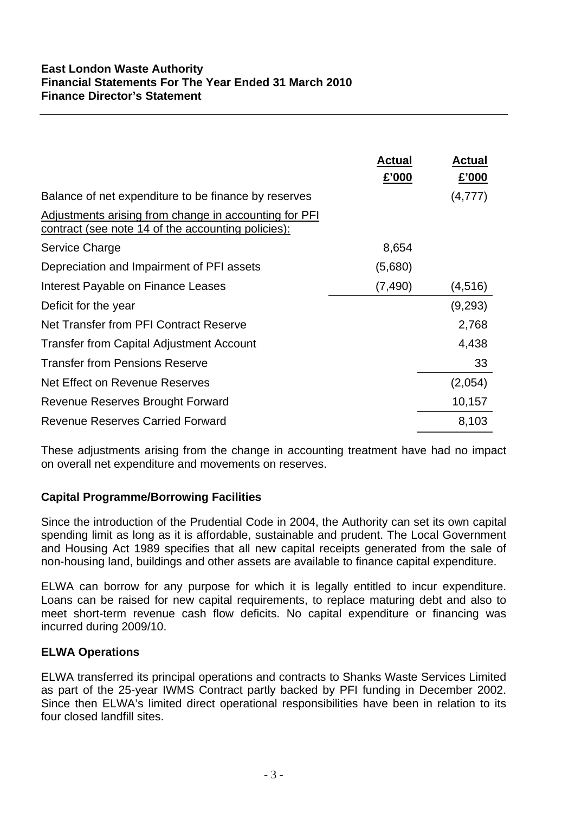|                                                                                                                    | <b>Actual</b><br>£'000 | <b>Actual</b><br>£'000 |
|--------------------------------------------------------------------------------------------------------------------|------------------------|------------------------|
| Balance of net expenditure to be finance by reserves                                                               |                        | (4,777)                |
| Adjustments arising from change in accounting for PFI<br><u>contract (see note 14 of the accounting policies):</u> |                        |                        |
| Service Charge                                                                                                     | 8,654                  |                        |
| Depreciation and Impairment of PFI assets                                                                          | (5,680)                |                        |
| Interest Payable on Finance Leases                                                                                 | (7, 490)               | (4, 516)               |
| Deficit for the year                                                                                               |                        | (9,293)                |
| Net Transfer from PFI Contract Reserve                                                                             |                        | 2,768                  |
| <b>Transfer from Capital Adjustment Account</b>                                                                    |                        | 4,438                  |
| <b>Transfer from Pensions Reserve</b>                                                                              |                        | 33                     |
| Net Effect on Revenue Reserves                                                                                     |                        | (2,054)                |
| Revenue Reserves Brought Forward                                                                                   |                        | 10,157                 |
| <b>Revenue Reserves Carried Forward</b>                                                                            |                        | 8,103                  |

These adjustments arising from the change in accounting treatment have had no impact on overall net expenditure and movements on reserves.

### **Capital Programme/Borrowing Facilities**

Since the introduction of the Prudential Code in 2004, the Authority can set its own capital spending limit as long as it is affordable, sustainable and prudent. The Local Government and Housing Act 1989 specifies that all new capital receipts generated from the sale of non-housing land, buildings and other assets are available to finance capital expenditure.

ELWA can borrow for any purpose for which it is legally entitled to incur expenditure. Loans can be raised for new capital requirements, to replace maturing debt and also to meet short-term revenue cash flow deficits. No capital expenditure or financing was incurred during 2009/10.

### **ELWA Operations**

ELWA transferred its principal operations and contracts to Shanks Waste Services Limited as part of the 25-year IWMS Contract partly backed by PFI funding in December 2002. Since then ELWA's limited direct operational responsibilities have been in relation to its four closed landfill sites.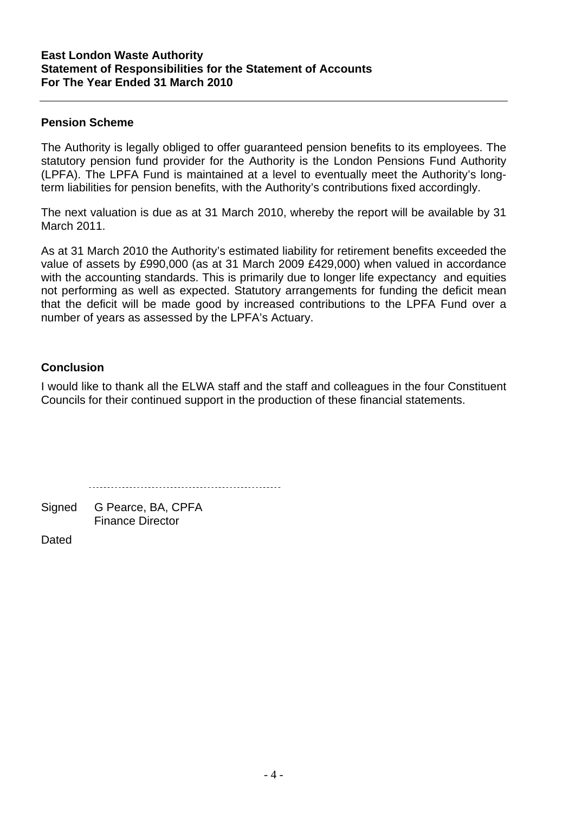### **East London Waste Authority Statement of Responsibilities for the Statement of Accounts For The Year Ended 31 March 2010**

### **Pension Scheme**

The Authority is legally obliged to offer guaranteed pension benefits to its employees. The statutory pension fund provider for the Authority is the London Pensions Fund Authority (LPFA). The LPFA Fund is maintained at a level to eventually meet the Authority's longterm liabilities for pension benefits, with the Authority's contributions fixed accordingly.

The next valuation is due as at 31 March 2010, whereby the report will be available by 31 March 2011.

As at 31 March 2010 the Authority's estimated liability for retirement benefits exceeded the value of assets by £990,000 (as at 31 March 2009 £429,000) when valued in accordance with the accounting standards. This is primarily due to longer life expectancy and equities not performing as well as expected. Statutory arrangements for funding the deficit mean that the deficit will be made good by increased contributions to the LPFA Fund over a number of years as assessed by the LPFA's Actuary.

### **Conclusion**

I would like to thank all the ELWA staff and the staff and colleagues in the four Constituent Councils for their continued support in the production of these financial statements.

Signed G Pearce, BA, CPFA Finance Director

Dated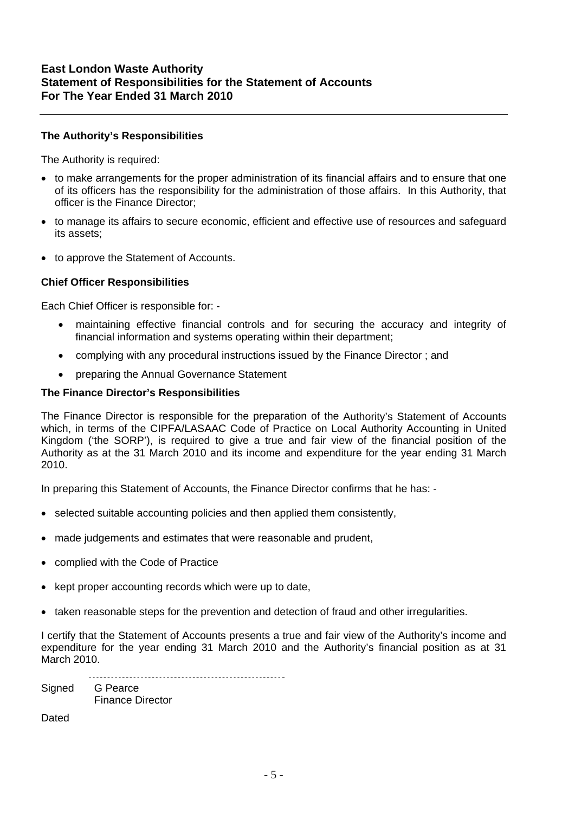### **The Authority's Responsibilities**

The Authority is required:

- to make arrangements for the proper administration of its financial affairs and to ensure that one of its officers has the responsibility for the administration of those affairs. In this Authority, that officer is the Finance Director;
- to manage its affairs to secure economic, efficient and effective use of resources and safeguard its assets;
- to approve the Statement of Accounts.

### **Chief Officer Responsibilities**

Each Chief Officer is responsible for: -

- maintaining effective financial controls and for securing the accuracy and integrity of financial information and systems operating within their department;
- complying with any procedural instructions issued by the Finance Director ; and
- preparing the Annual Governance Statement

### **The Finance Director's Responsibilities**

The Finance Director is responsible for the preparation of the Authority's Statement of Accounts which, in terms of the CIPFA/LASAAC Code of Practice on Local Authority Accounting in United Kingdom ('the SORP'), is required to give a true and fair view of the financial position of the Authority as at the 31 March 2010 and its income and expenditure for the year ending 31 March 2010.

In preparing this Statement of Accounts, the Finance Director confirms that he has: -

- selected suitable accounting policies and then applied them consistently,
- made judgements and estimates that were reasonable and prudent,
- complied with the Code of Practice
- kept proper accounting records which were up to date,
- taken reasonable steps for the prevention and detection of fraud and other irregularities.

I certify that the Statement of Accounts presents a true and fair view of the Authority's income and expenditure for the year ending 31 March 2010 and the Authority's financial position as at 31 March 2010.

Signed G Pearce Finance Director

**Dated**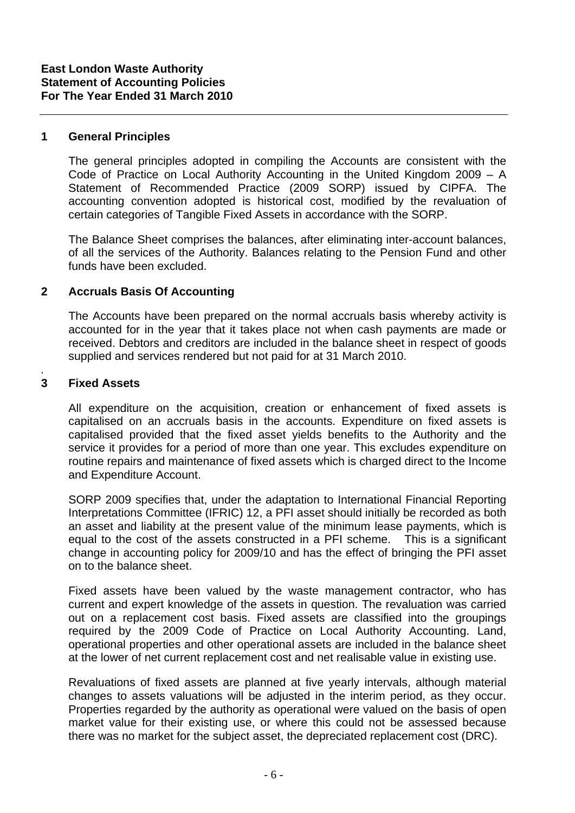### **1 General Principles**

The general principles adopted in compiling the Accounts are consistent with the Code of Practice on Local Authority Accounting in the United Kingdom 2009 – A Statement of Recommended Practice (2009 SORP) issued by CIPFA. The accounting convention adopted is historical cost, modified by the revaluation of certain categories of Tangible Fixed Assets in accordance with the SORP.

 The Balance Sheet comprises the balances, after eliminating inter-account balances, of all the services of the Authority. Balances relating to the Pension Fund and other funds have been excluded.

### **2 Accruals Basis Of Accounting**

The Accounts have been prepared on the normal accruals basis whereby activity is accounted for in the year that it takes place not when cash payments are made or received. Debtors and creditors are included in the balance sheet in respect of goods supplied and services rendered but not paid for at 31 March 2010.

### **3 Fixed Assets**

*.* 

 All expenditure on the acquisition, creation or enhancement of fixed assets is capitalised on an accruals basis in the accounts. Expenditure on fixed assets is capitalised provided that the fixed asset yields benefits to the Authority and the service it provides for a period of more than one year. This excludes expenditure on routine repairs and maintenance of fixed assets which is charged direct to the Income and Expenditure Account.

SORP 2009 specifies that, under the adaptation to International Financial Reporting Interpretations Committee (IFRIC) 12, a PFI asset should initially be recorded as both an asset and liability at the present value of the minimum lease payments, which is equal to the cost of the assets constructed in a PFI scheme. This is a significant change in accounting policy for 2009/10 and has the effect of bringing the PFI asset on to the balance sheet.

 Fixed assets have been valued by the waste management contractor, who has current and expert knowledge of the assets in question. The revaluation was carried out on a replacement cost basis. Fixed assets are classified into the groupings required by the 2009 Code of Practice on Local Authority Accounting. Land, operational properties and other operational assets are included in the balance sheet at the lower of net current replacement cost and net realisable value in existing use.

 Revaluations of fixed assets are planned at five yearly intervals, although material changes to assets valuations will be adjusted in the interim period, as they occur. Properties regarded by the authority as operational were valued on the basis of open market value for their existing use, or where this could not be assessed because there was no market for the subject asset, the depreciated replacement cost (DRC).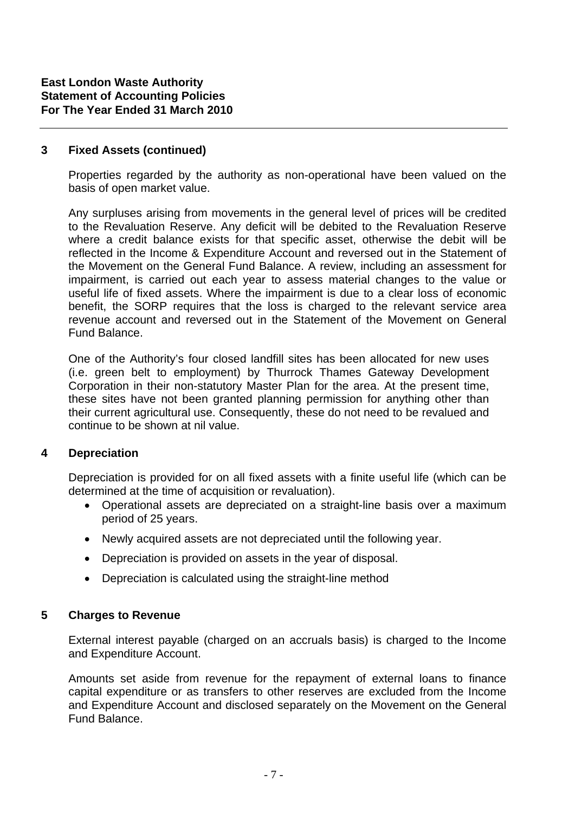### **3 Fixed Assets (continued)**

Properties regarded by the authority as non-operational have been valued on the basis of open market value.

Any surpluses arising from movements in the general level of prices will be credited to the Revaluation Reserve. Any deficit will be debited to the Revaluation Reserve where a credit balance exists for that specific asset, otherwise the debit will be reflected in the Income & Expenditure Account and reversed out in the Statement of the Movement on the General Fund Balance. A review, including an assessment for impairment, is carried out each year to assess material changes to the value or useful life of fixed assets. Where the impairment is due to a clear loss of economic benefit, the SORP requires that the loss is charged to the relevant service area revenue account and reversed out in the Statement of the Movement on General Fund Balance.

One of the Authority's four closed landfill sites has been allocated for new uses (i.e. green belt to employment) by Thurrock Thames Gateway Development Corporation in their non-statutory Master Plan for the area. At the present time, these sites have not been granted planning permission for anything other than their current agricultural use. Consequently, these do not need to be revalued and continue to be shown at nil value.

### **4 Depreciation**

Depreciation is provided for on all fixed assets with a finite useful life (which can be determined at the time of acquisition or revaluation).

- Operational assets are depreciated on a straight-line basis over a maximum period of 25 years.
- Newly acquired assets are not depreciated until the following year.
- Depreciation is provided on assets in the year of disposal.
- Depreciation is calculated using the straight-line method

### **5 Charges to Revenue**

 External interest payable (charged on an accruals basis) is charged to the Income and Expenditure Account.

Amounts set aside from revenue for the repayment of external loans to finance capital expenditure or as transfers to other reserves are excluded from the Income and Expenditure Account and disclosed separately on the Movement on the General Fund Balance.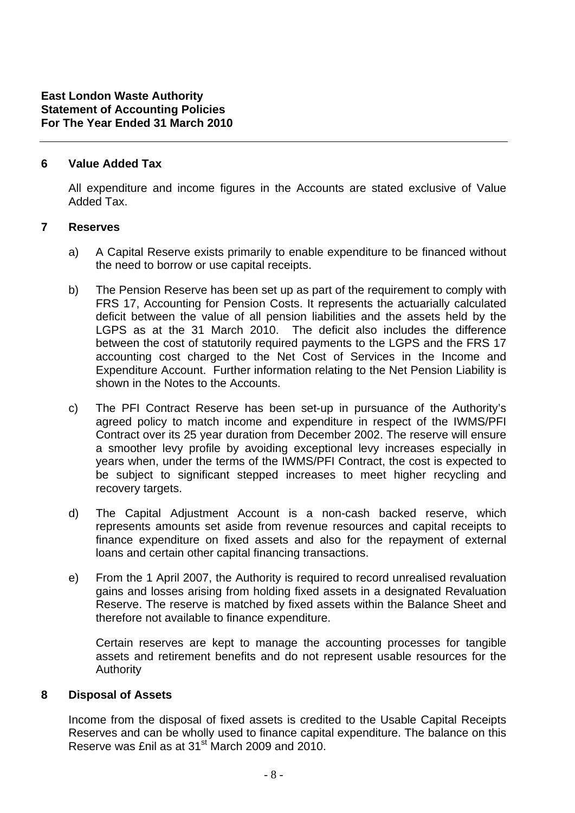### **6 Value Added Tax**

 All expenditure and income figures in the Accounts are stated exclusive of Value Added Tax.

### **7 Reserves**

- a) A Capital Reserve exists primarily to enable expenditure to be financed without the need to borrow or use capital receipts.
- b) The Pension Reserve has been set up as part of the requirement to comply with FRS 17, Accounting for Pension Costs. It represents the actuarially calculated deficit between the value of all pension liabilities and the assets held by the LGPS as at the 31 March 2010. The deficit also includes the difference between the cost of statutorily required payments to the LGPS and the FRS 17 accounting cost charged to the Net Cost of Services in the Income and Expenditure Account. Further information relating to the Net Pension Liability is shown in the Notes to the Accounts.
- c) The PFI Contract Reserve has been set-up in pursuance of the Authority's agreed policy to match income and expenditure in respect of the IWMS/PFI Contract over its 25 year duration from December 2002. The reserve will ensure a smoother levy profile by avoiding exceptional levy increases especially in years when, under the terms of the IWMS/PFI Contract, the cost is expected to be subject to significant stepped increases to meet higher recycling and recovery targets.
- d) The Capital Adjustment Account is a non-cash backed reserve, which represents amounts set aside from revenue resources and capital receipts to finance expenditure on fixed assets and also for the repayment of external loans and certain other capital financing transactions.
- e) From the 1 April 2007, the Authority is required to record unrealised revaluation gains and losses arising from holding fixed assets in a designated Revaluation Reserve. The reserve is matched by fixed assets within the Balance Sheet and therefore not available to finance expenditure.

Certain reserves are kept to manage the accounting processes for tangible assets and retirement benefits and do not represent usable resources for the Authority

### **8 Disposal of Assets**

 Income from the disposal of fixed assets is credited to the Usable Capital Receipts Reserves and can be wholly used to finance capital expenditure. The balance on this Reserve was £nil as at 31st March 2009 and 2010.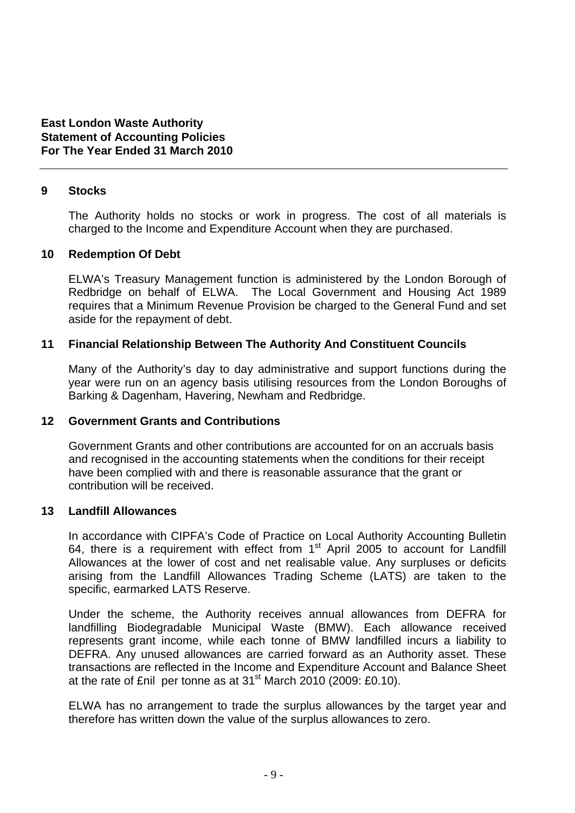### **9 Stocks**

 The Authority holds no stocks or work in progress. The cost of all materials is charged to the Income and Expenditure Account when they are purchased.

### **10 Redemption Of Debt**

 ELWA's Treasury Management function is administered by the London Borough of Redbridge on behalf of ELWA. The Local Government and Housing Act 1989 requires that a Minimum Revenue Provision be charged to the General Fund and set aside for the repayment of debt.

### **11 Financial Relationship Between The Authority And Constituent Councils**

 Many of the Authority's day to day administrative and support functions during the year were run on an agency basis utilising resources from the London Boroughs of Barking & Dagenham, Havering, Newham and Redbridge.

### **12 Government Grants and Contributions**

Government Grants and other contributions are accounted for on an accruals basis and recognised in the accounting statements when the conditions for their receipt have been complied with and there is reasonable assurance that the grant or contribution will be received.

### **13 Landfill Allowances**

In accordance with CIPFA's Code of Practice on Local Authority Accounting Bulletin 64, there is a requirement with effect from  $1<sup>st</sup>$  April 2005 to account for Landfill Allowances at the lower of cost and net realisable value. Any surpluses or deficits arising from the Landfill Allowances Trading Scheme (LATS) are taken to the specific, earmarked LATS Reserve.

Under the scheme, the Authority receives annual allowances from DEFRA for landfilling Biodegradable Municipal Waste (BMW). Each allowance received represents grant income, while each tonne of BMW landfilled incurs a liability to DEFRA. Any unused allowances are carried forward as an Authority asset. These transactions are reflected in the Income and Expenditure Account and Balance Sheet at the rate of £nil per tonne as at  $31<sup>st</sup>$  March 2010 (2009: £0.10).

ELWA has no arrangement to trade the surplus allowances by the target year and therefore has written down the value of the surplus allowances to zero.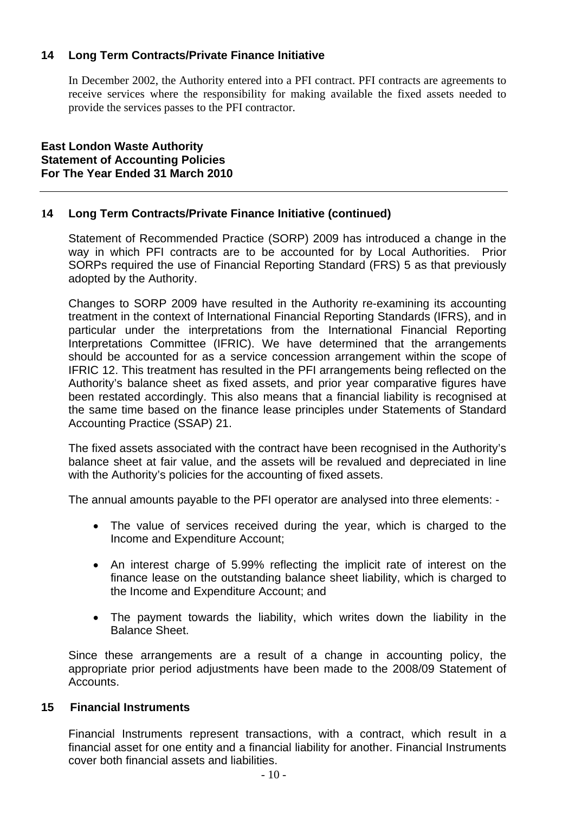### **14 Long Term Contracts/Private Finance Initiative**

In December 2002, the Authority entered into a PFI contract. PFI contracts are agreements to receive services where the responsibility for making available the fixed assets needed to provide the services passes to the PFI contractor.

**East London Waste Authority Statement of Accounting Policies For The Year Ended 31 March 2010** 

### **14 Long Term Contracts/Private Finance Initiative (continued)**

Statement of Recommended Practice (SORP) 2009 has introduced a change in the way in which PFI contracts are to be accounted for by Local Authorities. Prior SORPs required the use of Financial Reporting Standard (FRS) 5 as that previously adopted by the Authority.

Changes to SORP 2009 have resulted in the Authority re-examining its accounting treatment in the context of International Financial Reporting Standards (IFRS), and in particular under the interpretations from the International Financial Reporting Interpretations Committee (IFRIC). We have determined that the arrangements should be accounted for as a service concession arrangement within the scope of IFRIC 12. This treatment has resulted in the PFI arrangements being reflected on the Authority's balance sheet as fixed assets, and prior year comparative figures have been restated accordingly. This also means that a financial liability is recognised at the same time based on the finance lease principles under Statements of Standard Accounting Practice (SSAP) 21.

The fixed assets associated with the contract have been recognised in the Authority's balance sheet at fair value, and the assets will be revalued and depreciated in line with the Authority's policies for the accounting of fixed assets.

The annual amounts payable to the PFI operator are analysed into three elements: -

- The value of services received during the year, which is charged to the Income and Expenditure Account;
- An interest charge of 5.99% reflecting the implicit rate of interest on the finance lease on the outstanding balance sheet liability, which is charged to the Income and Expenditure Account; and
- The payment towards the liability, which writes down the liability in the Balance Sheet.

Since these arrangements are a result of a change in accounting policy, the appropriate prior period adjustments have been made to the 2008/09 Statement of Accounts.

### **15 Financial Instruments**

Financial Instruments represent transactions, with a contract, which result in a financial asset for one entity and a financial liability for another. Financial Instruments cover both financial assets and liabilities.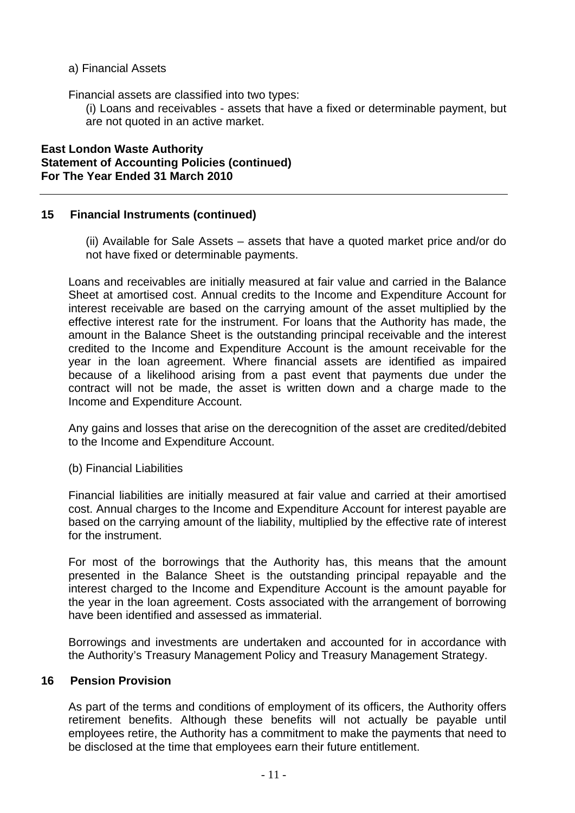a) Financial Assets

Financial assets are classified into two types:

 (i) Loans and receivables - assets that have a fixed or determinable payment, but are not quoted in an active market.

**East London Waste Authority Statement of Accounting Policies (continued) For The Year Ended 31 March 2010** 

### **15 Financial Instruments (continued)**

(ii) Available for Sale Assets – assets that have a quoted market price and/or do not have fixed or determinable payments.

Loans and receivables are initially measured at fair value and carried in the Balance Sheet at amortised cost. Annual credits to the Income and Expenditure Account for interest receivable are based on the carrying amount of the asset multiplied by the effective interest rate for the instrument. For loans that the Authority has made, the amount in the Balance Sheet is the outstanding principal receivable and the interest credited to the Income and Expenditure Account is the amount receivable for the year in the loan agreement. Where financial assets are identified as impaired because of a likelihood arising from a past event that payments due under the contract will not be made, the asset is written down and a charge made to the Income and Expenditure Account.

Any gains and losses that arise on the derecognition of the asset are credited/debited to the Income and Expenditure Account.

(b) Financial Liabilities

Financial liabilities are initially measured at fair value and carried at their amortised cost. Annual charges to the Income and Expenditure Account for interest payable are based on the carrying amount of the liability, multiplied by the effective rate of interest for the instrument.

For most of the borrowings that the Authority has, this means that the amount presented in the Balance Sheet is the outstanding principal repayable and the interest charged to the Income and Expenditure Account is the amount payable for the year in the loan agreement. Costs associated with the arrangement of borrowing have been identified and assessed as immaterial.

Borrowings and investments are undertaken and accounted for in accordance with the Authority's Treasury Management Policy and Treasury Management Strategy.

### **16 Pension Provision**

As part of the terms and conditions of employment of its officers, the Authority offers retirement benefits. Although these benefits will not actually be payable until employees retire, the Authority has a commitment to make the payments that need to be disclosed at the time that employees earn their future entitlement.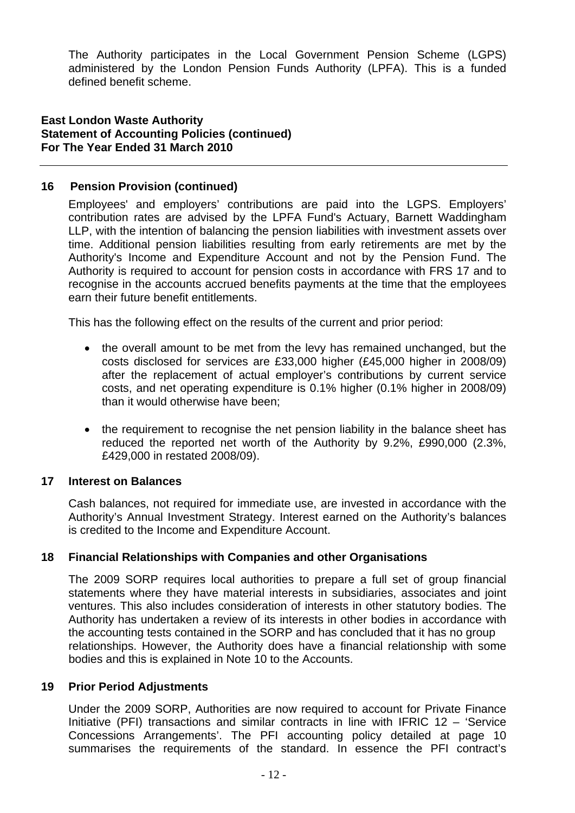The Authority participates in the Local Government Pension Scheme (LGPS) administered by the London Pension Funds Authority (LPFA). This is a funded defined benefit scheme.

### **East London Waste Authority Statement of Accounting Policies (continued) For The Year Ended 31 March 2010**

### **16 Pension Provision (continued)**

Employees' and employers' contributions are paid into the LGPS. Employers' contribution rates are advised by the LPFA Fund's Actuary, Barnett Waddingham LLP, with the intention of balancing the pension liabilities with investment assets over time. Additional pension liabilities resulting from early retirements are met by the Authority's Income and Expenditure Account and not by the Pension Fund. The Authority is required to account for pension costs in accordance with FRS 17 and to recognise in the accounts accrued benefits payments at the time that the employees earn their future benefit entitlements.

This has the following effect on the results of the current and prior period:

- the overall amount to be met from the levy has remained unchanged, but the costs disclosed for services are £33,000 higher (£45,000 higher in 2008/09) after the replacement of actual employer's contributions by current service costs, and net operating expenditure is 0.1% higher (0.1% higher in 2008/09) than it would otherwise have been;
- the requirement to recognise the net pension liability in the balance sheet has reduced the reported net worth of the Authority by 9.2%, £990,000 (2.3%, £429,000 in restated 2008/09).

### **17 Interest on Balances**

Cash balances, not required for immediate use, are invested in accordance with the Authority's Annual Investment Strategy. Interest earned on the Authority's balances is credited to the Income and Expenditure Account.

### **18 Financial Relationships with Companies and other Organisations**

The 2009 SORP requires local authorities to prepare a full set of group financial statements where they have material interests in subsidiaries, associates and joint ventures. This also includes consideration of interests in other statutory bodies. The Authority has undertaken a review of its interests in other bodies in accordance with the accounting tests contained in the SORP and has concluded that it has no group relationships. However, the Authority does have a financial relationship with some bodies and this is explained in Note 10 to the Accounts.

### **19 Prior Period Adjustments**

Under the 2009 SORP, Authorities are now required to account for Private Finance Initiative (PFI) transactions and similar contracts in line with IFRIC 12 – 'Service Concessions Arrangements'. The PFI accounting policy detailed at page 10 summarises the requirements of the standard. In essence the PFI contract's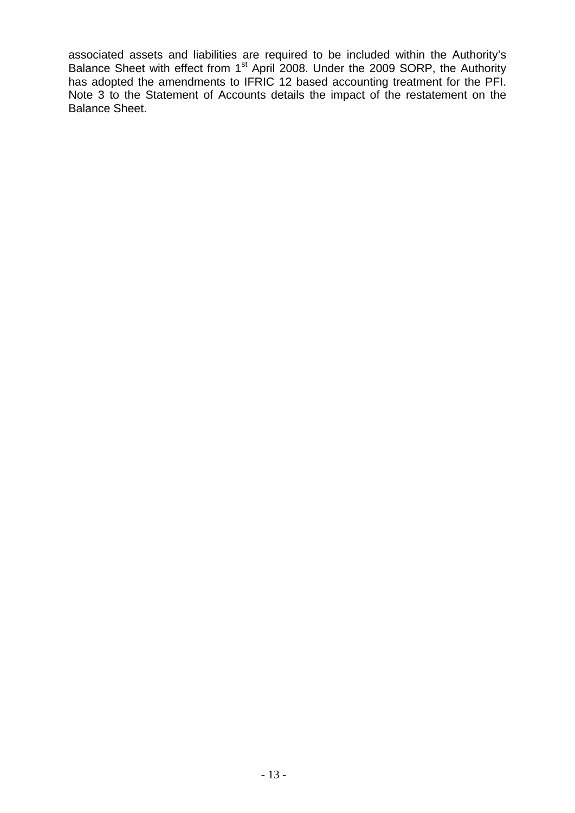associated assets and liabilities are required to be included within the Authority's Balance Sheet with effect from 1<sup>st</sup> April 2008. Under the 2009 SORP, the Authority has adopted the amendments to IFRIC 12 based accounting treatment for the PFI. Note 3 to the Statement of Accounts details the impact of the restatement on the Balance Sheet.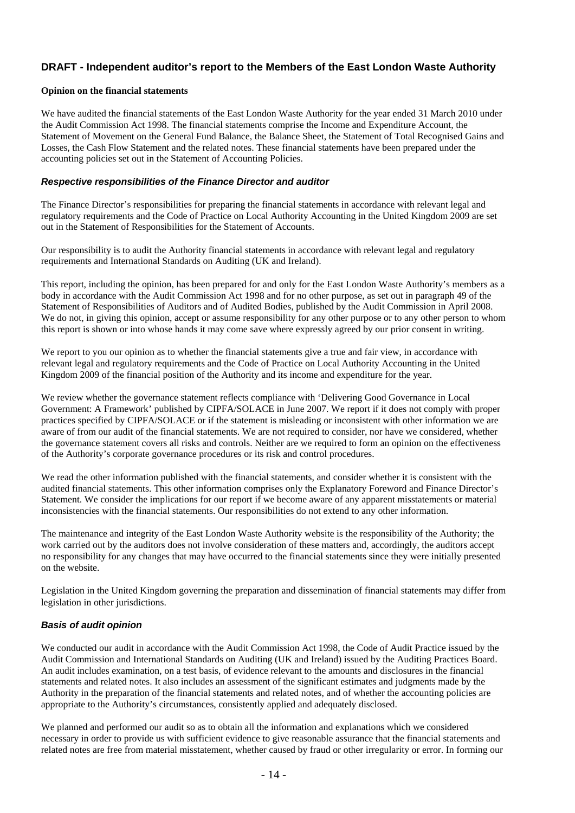### **DRAFT - Independent auditor's report to the Members of the East London Waste Authority**

### **Opinion on the financial statements**

We have audited the financial statements of the East London Waste Authority for the year ended 31 March 2010 under the Audit Commission Act 1998. The financial statements comprise the Income and Expenditure Account, the Statement of Movement on the General Fund Balance, the Balance Sheet, the Statement of Total Recognised Gains and Losses, the Cash Flow Statement and the related notes. These financial statements have been prepared under the accounting policies set out in the Statement of Accounting Policies.

### *Respective responsibilities of the Finance Director and auditor*

The Finance Director's responsibilities for preparing the financial statements in accordance with relevant legal and regulatory requirements and the Code of Practice on Local Authority Accounting in the United Kingdom 2009 are set out in the Statement of Responsibilities for the Statement of Accounts.

Our responsibility is to audit the Authority financial statements in accordance with relevant legal and regulatory requirements and International Standards on Auditing (UK and Ireland).

This report, including the opinion, has been prepared for and only for the East London Waste Authority's members as a body in accordance with the Audit Commission Act 1998 and for no other purpose, as set out in paragraph 49 of the Statement of Responsibilities of Auditors and of Audited Bodies, published by the Audit Commission in April 2008. We do not, in giving this opinion, accept or assume responsibility for any other purpose or to any other person to whom this report is shown or into whose hands it may come save where expressly agreed by our prior consent in writing.

We report to you our opinion as to whether the financial statements give a true and fair view, in accordance with relevant legal and regulatory requirements and the Code of Practice on Local Authority Accounting in the United Kingdom 2009 of the financial position of the Authority and its income and expenditure for the year.

We review whether the governance statement reflects compliance with 'Delivering Good Governance in Local Government: A Framework' published by CIPFA/SOLACE in June 2007. We report if it does not comply with proper practices specified by CIPFA/SOLACE or if the statement is misleading or inconsistent with other information we are aware of from our audit of the financial statements. We are not required to consider, nor have we considered, whether the governance statement covers all risks and controls. Neither are we required to form an opinion on the effectiveness of the Authority's corporate governance procedures or its risk and control procedures.

We read the other information published with the financial statements, and consider whether it is consistent with the audited financial statements. This other information comprises only the Explanatory Foreword and Finance Director's Statement. We consider the implications for our report if we become aware of any apparent misstatements or material inconsistencies with the financial statements. Our responsibilities do not extend to any other information.

The maintenance and integrity of the East London Waste Authority website is the responsibility of the Authority; the work carried out by the auditors does not involve consideration of these matters and, accordingly, the auditors accept no responsibility for any changes that may have occurred to the financial statements since they were initially presented on the website.

Legislation in the United Kingdom governing the preparation and dissemination of financial statements may differ from legislation in other jurisdictions.

### *Basis of audit opinion*

We conducted our audit in accordance with the Audit Commission Act 1998, the Code of Audit Practice issued by the Audit Commission and International Standards on Auditing (UK and Ireland) issued by the Auditing Practices Board. An audit includes examination, on a test basis, of evidence relevant to the amounts and disclosures in the financial statements and related notes. It also includes an assessment of the significant estimates and judgments made by the Authority in the preparation of the financial statements and related notes, and of whether the accounting policies are appropriate to the Authority's circumstances, consistently applied and adequately disclosed.

We planned and performed our audit so as to obtain all the information and explanations which we considered necessary in order to provide us with sufficient evidence to give reasonable assurance that the financial statements and related notes are free from material misstatement, whether caused by fraud or other irregularity or error. In forming our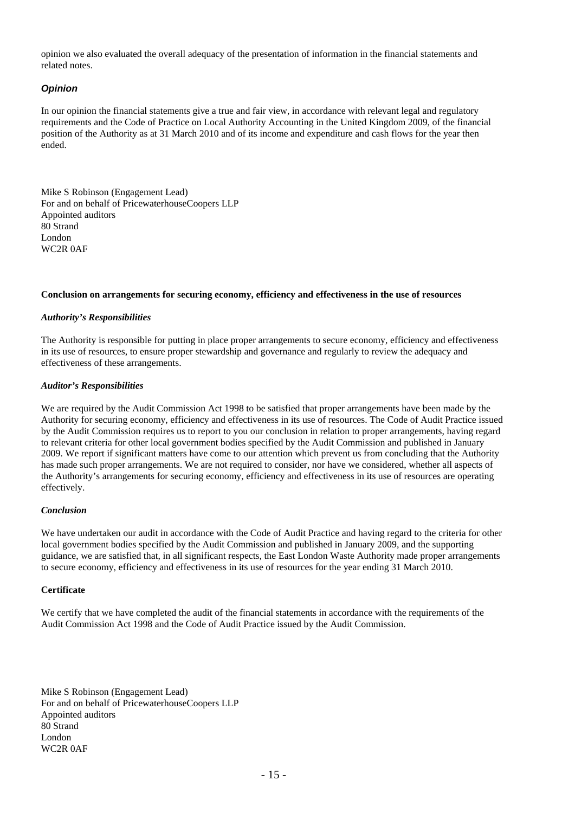opinion we also evaluated the overall adequacy of the presentation of information in the financial statements and related notes.

### *Opinion*

In our opinion the financial statements give a true and fair view, in accordance with relevant legal and regulatory requirements and the Code of Practice on Local Authority Accounting in the United Kingdom 2009, of the financial position of the Authority as at 31 March 2010 and of its income and expenditure and cash flows for the year then ended.

Mike S Robinson (Engagement Lead) For and on behalf of PricewaterhouseCoopers LLP Appointed auditors 80 Strand London WC2R 0AF

#### **Conclusion on arrangements for securing economy, efficiency and effectiveness in the use of resources**

### *Authority's Responsibilities*

The Authority is responsible for putting in place proper arrangements to secure economy, efficiency and effectiveness in its use of resources, to ensure proper stewardship and governance and regularly to review the adequacy and effectiveness of these arrangements.

### *Auditor's Responsibilities*

We are required by the Audit Commission Act 1998 to be satisfied that proper arrangements have been made by the Authority for securing economy, efficiency and effectiveness in its use of resources. The Code of Audit Practice issued by the Audit Commission requires us to report to you our conclusion in relation to proper arrangements, having regard to relevant criteria for other local government bodies specified by the Audit Commission and published in January 2009. We report if significant matters have come to our attention which prevent us from concluding that the Authority has made such proper arrangements. We are not required to consider, nor have we considered, whether all aspects of the Authority's arrangements for securing economy, efficiency and effectiveness in its use of resources are operating effectively.

#### *Conclusion*

We have undertaken our audit in accordance with the Code of Audit Practice and having regard to the criteria for other local government bodies specified by the Audit Commission and published in January 2009, and the supporting guidance, we are satisfied that, in all significant respects, the East London Waste Authority made proper arrangements to secure economy, efficiency and effectiveness in its use of resources for the year ending 31 March 2010.

#### **Certificate**

We certify that we have completed the audit of the financial statements in accordance with the requirements of the Audit Commission Act 1998 and the Code of Audit Practice issued by the Audit Commission.

Mike S Robinson (Engagement Lead) For and on behalf of PricewaterhouseCoopers LLP Appointed auditors 80 Strand London WC2R 0AF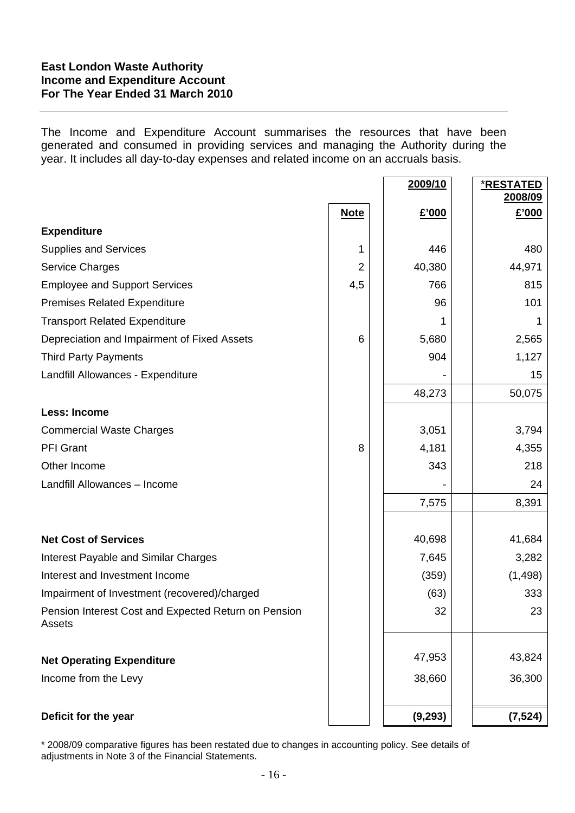### **East London Waste Authority Income and Expenditure Account For The Year Ended 31 March 2010**

The Income and Expenditure Account summarises the resources that have been generated and consumed in providing services and managing the Authority during the year. It includes all day-to-day expenses and related income on an accruals basis.

|                                                                |                | 2009/10  | <u>*RESTATED</u><br>2008/09 |
|----------------------------------------------------------------|----------------|----------|-----------------------------|
|                                                                | <b>Note</b>    | £'000    | £'000                       |
| <b>Expenditure</b>                                             |                |          |                             |
| <b>Supplies and Services</b>                                   |                | 446      | 480                         |
| <b>Service Charges</b>                                         | $\overline{2}$ | 40,380   | 44,971                      |
| <b>Employee and Support Services</b>                           | 4,5            | 766      | 815                         |
| <b>Premises Related Expenditure</b>                            |                | 96       | 101                         |
| <b>Transport Related Expenditure</b>                           |                | 1        | 1                           |
| Depreciation and Impairment of Fixed Assets                    | 6              | 5,680    | 2,565                       |
| <b>Third Party Payments</b>                                    |                | 904      | 1,127                       |
| Landfill Allowances - Expenditure                              |                |          | 15                          |
|                                                                |                | 48,273   | 50,075                      |
| <b>Less: Income</b>                                            |                |          |                             |
| <b>Commercial Waste Charges</b>                                |                | 3,051    | 3,794                       |
| <b>PFI Grant</b>                                               | 8              | 4,181    | 4,355                       |
| Other Income                                                   |                | 343      | 218                         |
| Landfill Allowances - Income                                   |                |          | 24                          |
|                                                                |                | 7,575    | 8,391                       |
|                                                                |                |          |                             |
| <b>Net Cost of Services</b>                                    |                | 40,698   | 41,684                      |
| <b>Interest Payable and Similar Charges</b>                    |                | 7,645    | 3,282                       |
| Interest and Investment Income                                 |                | (359)    | (1, 498)                    |
| Impairment of Investment (recovered)/charged                   |                | (63)     | 333                         |
| Pension Interest Cost and Expected Return on Pension<br>Assets |                | 32       | 23                          |
| <b>Net Operating Expenditure</b>                               |                | 47,953   | 43,824                      |
| Income from the Levy                                           |                | 38,660   | 36,300                      |
| Deficit for the year                                           |                | (9, 293) | (7, 524)                    |

\* 2008/09 comparative figures has been restated due to changes in accounting policy. See details of adjustments in Note 3 of the Financial Statements.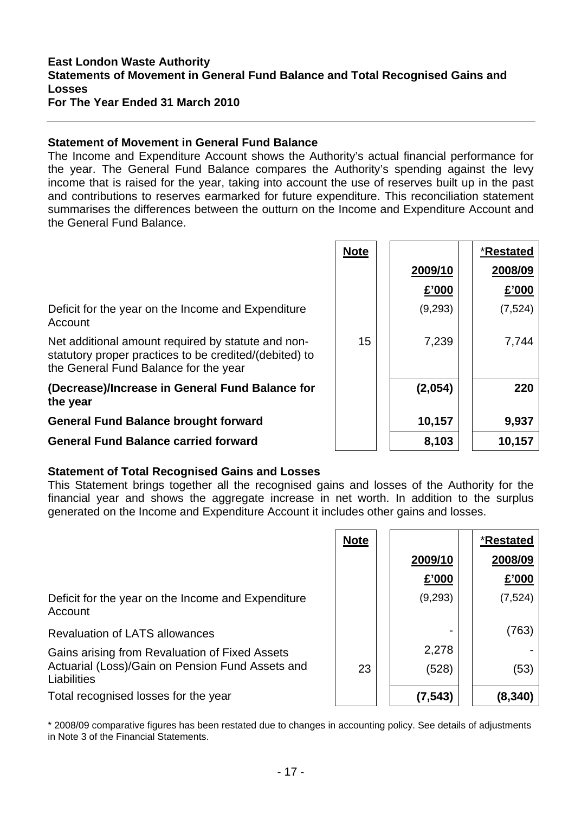# **East London Waste Authority Statements of Movement in General Fund Balance and Total Recognised Gains and Losses**

**For The Year Ended 31 March 2010** 

### **Statement of Movement in General Fund Balance**

The Income and Expenditure Account shows the Authority's actual financial performance for the year. The General Fund Balance compares the Authority's spending against the levy income that is raised for the year, taking into account the use of reserves built up in the past and contributions to reserves earmarked for future expenditure. This reconciliation statement summarises the differences between the outturn on the Income and Expenditure Account and the General Fund Balance.

|                                                                                                                                                       | <b>Note</b> |         | *Restated |
|-------------------------------------------------------------------------------------------------------------------------------------------------------|-------------|---------|-----------|
|                                                                                                                                                       |             | 2009/10 | 2008/09   |
|                                                                                                                                                       |             | £'000   | £'000     |
| Deficit for the year on the Income and Expenditure<br>Account                                                                                         |             | (9,293) | (7, 524)  |
| Net additional amount required by statute and non-<br>statutory proper practices to be credited/(debited) to<br>the General Fund Balance for the year | 15          | 7,239   | 7,744     |
| (Decrease)/Increase in General Fund Balance for<br>the year                                                                                           |             | (2,054) | 220       |
| <b>General Fund Balance brought forward</b>                                                                                                           |             | 10,157  | 9,937     |
| <b>General Fund Balance carried forward</b>                                                                                                           |             | 8,103   | 10,157    |

# **Statement of Total Recognised Gains and Losses**

This Statement brings together all the recognised gains and losses of the Authority for the financial year and shows the aggregate increase in net worth. In addition to the surplus generated on the Income and Expenditure Account it includes other gains and losses.

|                                                                 | <b>Note</b> |          | *Restated |
|-----------------------------------------------------------------|-------------|----------|-----------|
|                                                                 |             | 2009/10  | 2008/09   |
|                                                                 |             | £'000    | £'000     |
| Deficit for the year on the Income and Expenditure<br>Account   |             | (9,293)  | (7, 524)  |
| <b>Revaluation of LATS allowances</b>                           |             |          | (763)     |
| Gains arising from Revaluation of Fixed Assets                  |             | 2,278    |           |
| Actuarial (Loss)/Gain on Pension Fund Assets and<br>Liabilities | 23          | (528)    | (53)      |
| Total recognised losses for the year                            |             | (7, 543) | (8,340)   |

\* 2008/09 comparative figures has been restated due to changes in accounting policy. See details of adjustments in Note 3 of the Financial Statements.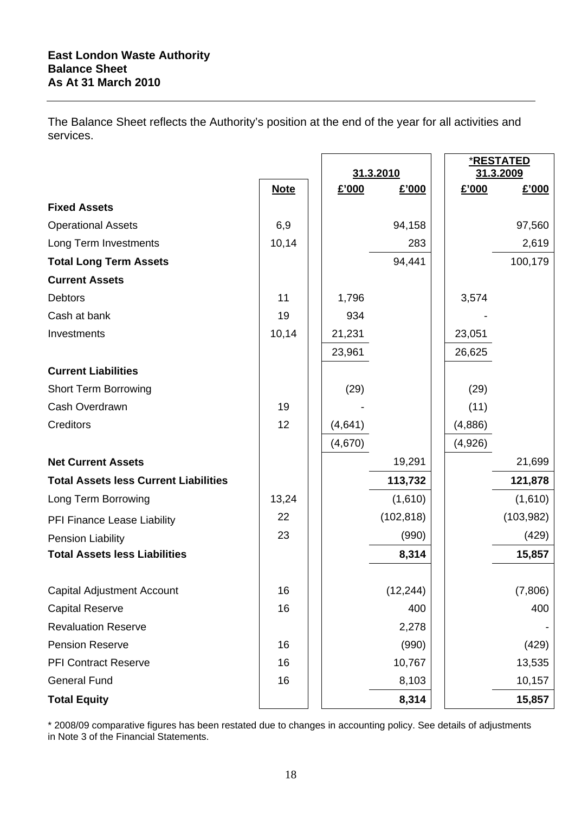The Balance Sheet reflects the Authority's position at the end of the year for all activities and services.

|                                              |             | 31.3.2010 |            |  |         | <u>*RESTATED</u><br>31.3.2009 |
|----------------------------------------------|-------------|-----------|------------|--|---------|-------------------------------|
|                                              | <b>Note</b> | £'000     | £'000      |  | £'000   | £'000                         |
| <b>Fixed Assets</b>                          |             |           |            |  |         |                               |
| <b>Operational Assets</b>                    | 6,9         |           | 94,158     |  |         | 97,560                        |
| Long Term Investments                        | 10,14       |           | 283        |  |         | 2,619                         |
| <b>Total Long Term Assets</b>                |             |           | 94,441     |  |         | 100,179                       |
| <b>Current Assets</b>                        |             |           |            |  |         |                               |
| <b>Debtors</b>                               | 11          | 1,796     |            |  | 3,574   |                               |
| Cash at bank                                 | 19          | 934       |            |  |         |                               |
| Investments                                  | 10,14       | 21,231    |            |  | 23,051  |                               |
|                                              |             | 23,961    |            |  | 26,625  |                               |
| <b>Current Liabilities</b>                   |             |           |            |  |         |                               |
| <b>Short Term Borrowing</b>                  |             | (29)      |            |  | (29)    |                               |
| Cash Overdrawn                               | 19          |           |            |  | (11)    |                               |
| Creditors                                    | 12          | (4,641)   |            |  | (4,886) |                               |
|                                              |             | (4,670)   |            |  | (4,926) |                               |
| <b>Net Current Assets</b>                    |             |           | 19,291     |  |         | 21,699                        |
| <b>Total Assets less Current Liabilities</b> |             |           | 113,732    |  |         | 121,878                       |
| Long Term Borrowing                          | 13,24       |           | (1,610)    |  |         | (1,610)                       |
| PFI Finance Lease Liability                  | 22          |           | (102, 818) |  |         | (103, 982)                    |
| Pension Liability                            | 23          |           | (990)      |  |         | (429)                         |
| <b>Total Assets less Liabilities</b>         |             |           | 8,314      |  |         | 15,857                        |
|                                              |             |           |            |  |         |                               |
| <b>Capital Adjustment Account</b>            | 16          |           | (12, 244)  |  |         | (7,806)                       |
| <b>Capital Reserve</b>                       | 16          |           | 400        |  |         | 400                           |
| <b>Revaluation Reserve</b>                   |             |           | 2,278      |  |         |                               |
| <b>Pension Reserve</b>                       | 16          |           | (990)      |  |         | (429)                         |
| <b>PFI Contract Reserve</b>                  | 16          |           | 10,767     |  |         | 13,535                        |
| <b>General Fund</b>                          | 16          |           | 8,103      |  |         | 10,157                        |
| <b>Total Equity</b>                          |             |           | 8,314      |  |         | 15,857                        |

\* 2008/09 comparative figures has been restated due to changes in accounting policy. See details of adjustments in Note 3 of the Financial Statements.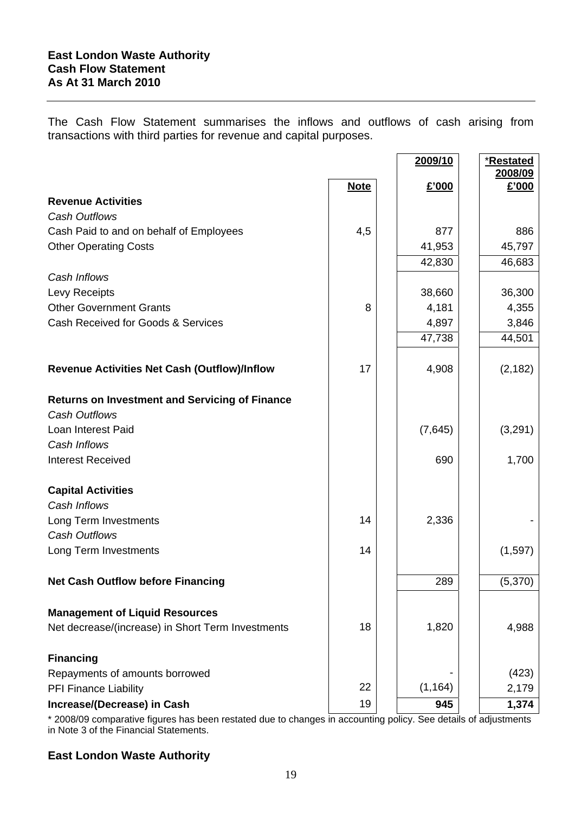The Cash Flow Statement summarises the inflows and outflows of cash arising from transactions with third parties for revenue and capital purposes.

|                                                                               |             | 2009/10  | *Restated        |
|-------------------------------------------------------------------------------|-------------|----------|------------------|
|                                                                               | <b>Note</b> | £'000    | 2008/09<br>£'000 |
| <b>Revenue Activities</b>                                                     |             |          |                  |
| <b>Cash Outflows</b>                                                          |             |          |                  |
| Cash Paid to and on behalf of Employees                                       | 4,5         | 877      | 886              |
| <b>Other Operating Costs</b>                                                  |             | 41,953   | 45,797           |
|                                                                               |             | 42,830   | 46,683           |
| Cash Inflows                                                                  |             |          |                  |
| Levy Receipts                                                                 |             | 38,660   | 36,300           |
| <b>Other Government Grants</b>                                                | 8           | 4,181    | 4,355            |
| Cash Received for Goods & Services                                            |             | 4,897    | 3,846            |
|                                                                               |             | 47,738   | 44,501           |
| Revenue Activities Net Cash (Outflow)/Inflow                                  | 17          | 4,908    | (2, 182)         |
| <b>Returns on Investment and Servicing of Finance</b><br><b>Cash Outflows</b> |             |          |                  |
| Loan Interest Paid                                                            |             | (7,645)  | (3,291)          |
| Cash Inflows                                                                  |             |          |                  |
| <b>Interest Received</b>                                                      |             | 690      | 1,700            |
| <b>Capital Activities</b>                                                     |             |          |                  |
| Cash Inflows                                                                  |             |          |                  |
| Long Term Investments                                                         | 14          | 2,336    |                  |
| <b>Cash Outflows</b>                                                          |             |          |                  |
| Long Term Investments                                                         | 14          |          | (1,597)          |
| <b>Net Cash Outflow before Financing</b>                                      |             | 289      | (5,370)          |
|                                                                               |             |          |                  |
| <b>Management of Liquid Resources</b>                                         |             |          |                  |
| Net decrease/(increase) in Short Term Investments                             | 18          | 1,820    | 4,988            |
| <b>Financing</b>                                                              |             |          |                  |
| Repayments of amounts borrowed                                                |             |          | (423)            |
| PFI Finance Liability                                                         | 22          | (1, 164) | 2,179            |
| Increase/(Decrease) in Cash                                                   | 19          | 945      | 1,374            |

\* 2008/09 comparative figures has been restated due to changes in accounting policy. See details of adjustments in Note 3 of the Financial Statements.

# **East London Waste Authority**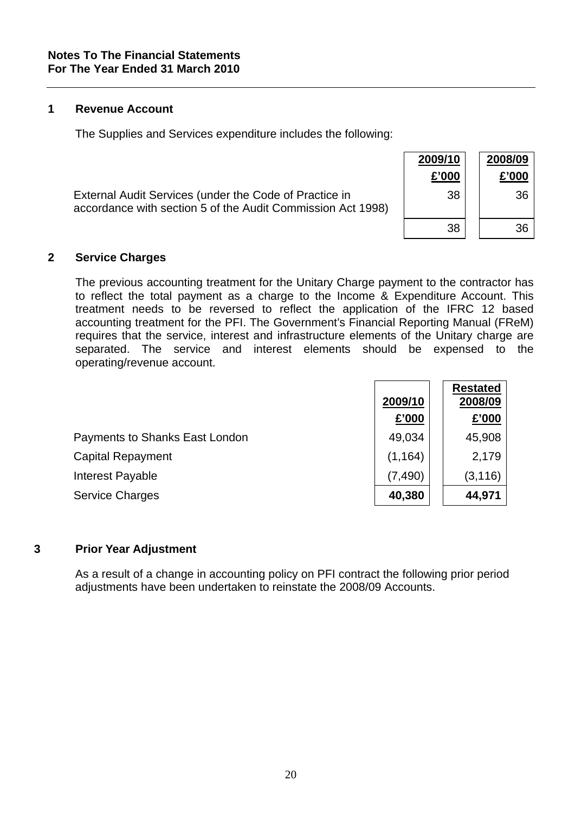### **1 Revenue Account**

The Supplies and Services expenditure includes the following:

| External Audit Services (under the Code of Practice in      |  |
|-------------------------------------------------------------|--|
| accordance with section 5 of the Audit Commission Act 1998) |  |

| 2009/10<br>£'000 | 2008/09<br>£'000 |
|------------------|------------------|
| 38               | 36               |
| 38               | 36               |

### **2 Service Charges**

The previous accounting treatment for the Unitary Charge payment to the contractor has to reflect the total payment as a charge to the Income & Expenditure Account. This treatment needs to be reversed to reflect the application of the IFRC 12 based accounting treatment for the PFI. The Government's Financial Reporting Manual (FReM) requires that the service, interest and infrastructure elements of the Unitary charge are separated. The service and interest elements should be expensed to the operating/revenue account.

|                                | 2009/10  | <b>Restated</b><br>2008/09 |
|--------------------------------|----------|----------------------------|
|                                | £'000    | £'000                      |
| Payments to Shanks East London | 49,034   | 45,908                     |
| <b>Capital Repayment</b>       | (1, 164) | 2,179                      |
| Interest Payable               | (7, 490) | (3, 116)                   |
| <b>Service Charges</b>         | 40,380   | 44,971                     |

### **3 Prior Year Adjustment**

As a result of a change in accounting policy on PFI contract the following prior period adjustments have been undertaken to reinstate the 2008/09 Accounts.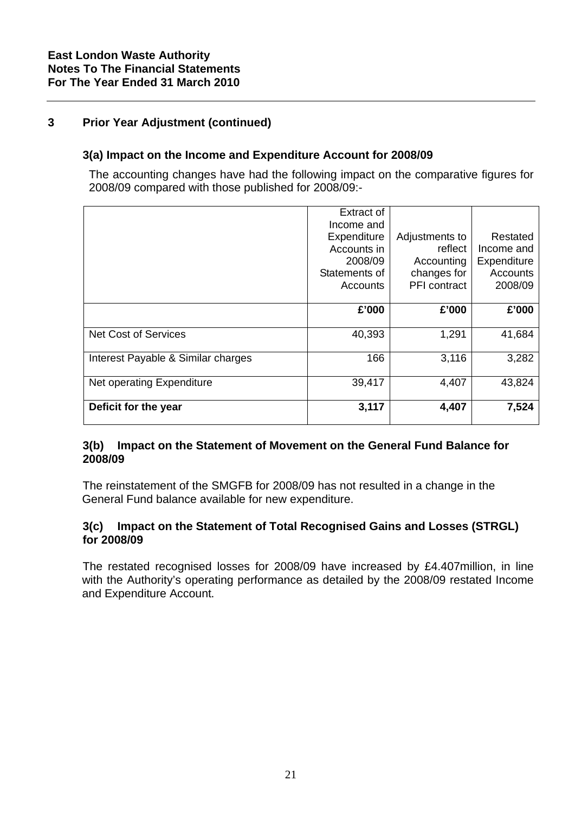# **3 Prior Year Adjustment (continued)**

### **3(a) Impact on the Income and Expenditure Account for 2008/09**

The accounting changes have had the following impact on the comparative figures for 2008/09 compared with those published for 2008/09:-

|                                    | <b>Extract of</b><br>Income and                                    |                                                                        |                                                              |
|------------------------------------|--------------------------------------------------------------------|------------------------------------------------------------------------|--------------------------------------------------------------|
|                                    | Expenditure<br>Accounts in<br>2008/09<br>Statements of<br>Accounts | Adjustments to<br>reflect<br>Accounting<br>changes for<br>PFI contract | Restated<br>Income and<br>Expenditure<br>Accounts<br>2008/09 |
|                                    | £'000                                                              | £'000                                                                  | £'000                                                        |
| <b>Net Cost of Services</b>        | 40,393                                                             | 1,291                                                                  | 41,684                                                       |
| Interest Payable & Similar charges | 166                                                                | 3,116                                                                  | 3,282                                                        |
| Net operating Expenditure          | 39,417                                                             | 4,407                                                                  | 43,824                                                       |
| Deficit for the year               | 3,117                                                              | 4,407                                                                  | 7,524                                                        |

### **3(b) Impact on the Statement of Movement on the General Fund Balance for 2008/09**

The reinstatement of the SMGFB for 2008/09 has not resulted in a change in the General Fund balance available for new expenditure.

### **3(c) Impact on the Statement of Total Recognised Gains and Losses (STRGL) for 2008/09**

The restated recognised losses for 2008/09 have increased by £4.407million, in line with the Authority's operating performance as detailed by the 2008/09 restated Income and Expenditure Account.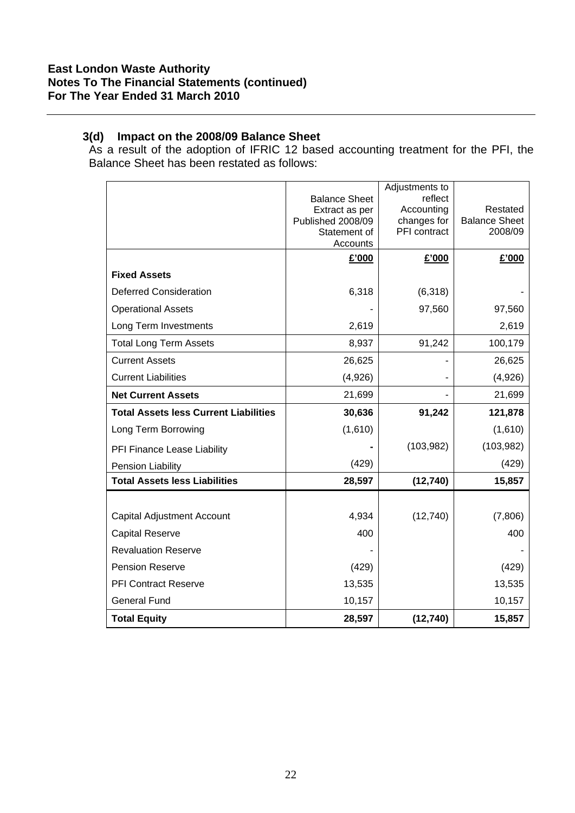### **3(d) Impact on the 2008/09 Balance Sheet**

As a result of the adoption of IFRIC 12 based accounting treatment for the PFI, the Balance Sheet has been restated as follows:

|                                              |                                     | Adjustments to        |                      |
|----------------------------------------------|-------------------------------------|-----------------------|----------------------|
|                                              | <b>Balance Sheet</b>                | reflect<br>Accounting | Restated             |
|                                              | Extract as per<br>Published 2008/09 | changes for           | <b>Balance Sheet</b> |
|                                              | Statement of                        | PFI contract          | 2008/09              |
|                                              | Accounts                            |                       |                      |
|                                              | £'000                               | £'000                 | £'000                |
| <b>Fixed Assets</b>                          |                                     |                       |                      |
| <b>Deferred Consideration</b>                | 6,318                               | (6,318)               |                      |
| <b>Operational Assets</b>                    |                                     | 97,560                | 97,560               |
| Long Term Investments                        | 2,619                               |                       | 2,619                |
| <b>Total Long Term Assets</b>                | 8,937                               | 91,242                | 100,179              |
| <b>Current Assets</b>                        | 26,625                              |                       | 26,625               |
| <b>Current Liabilities</b>                   | (4,926)                             |                       | (4,926)              |
| <b>Net Current Assets</b>                    | 21,699                              |                       | 21,699               |
| <b>Total Assets less Current Liabilities</b> | 30,636                              | 91,242                | 121,878              |
| Long Term Borrowing                          | (1,610)                             |                       | (1,610)              |
| PFI Finance Lease Liability                  |                                     | (103, 982)            | (103,982)            |
| Pension Liability                            | (429)                               |                       | (429)                |
| <b>Total Assets less Liabilities</b>         | 28,597                              | (12, 740)             | 15,857               |
|                                              |                                     |                       |                      |
| Capital Adjustment Account                   | 4,934                               | (12, 740)             | (7,806)              |
| <b>Capital Reserve</b>                       | 400                                 |                       | 400                  |
| <b>Revaluation Reserve</b>                   |                                     |                       |                      |
| <b>Pension Reserve</b>                       | (429)                               |                       | (429)                |
| <b>PFI Contract Reserve</b>                  | 13,535                              |                       | 13,535               |
| <b>General Fund</b>                          | 10,157                              |                       | 10,157               |
| <b>Total Equity</b>                          | 28,597                              | (12, 740)             | 15,857               |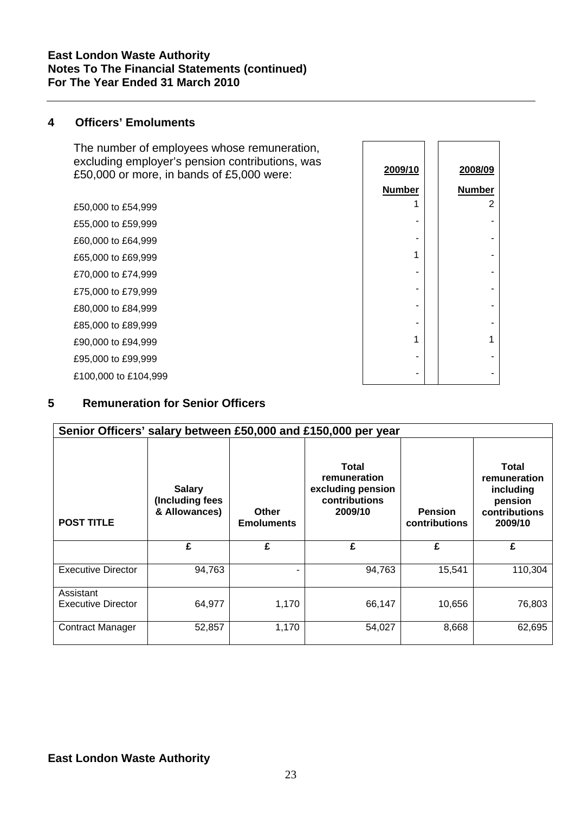### **East London Waste Authority Notes To The Financial Statements (continued) For The Year Ended 31 March 2010**

### **4 Officers' Emoluments**

The number of employees whose remuneration, excluding employer's pension contributions, was £50,000 or more, in bands of £5,000 were:

£50,000 to £54,999 £55,000 to £59,999 £60,000 to £64,999 £65,000 to £69,999 £70,000 to £74,999 £75,000 to £79,999 £80,000 to £84,999 £85,000 to £89,999 £90,000 to £94,999 £95,000 to £99,999 £100,000 to £104,999

| 2009/10       | 2008/09        |
|---------------|----------------|
| <b>Number</b> | <b>Number</b>  |
| 1             | $\overline{2}$ |
|               |                |
|               |                |
| 1             |                |
|               |                |
|               |                |
|               |                |
|               |                |
| 1             | 1              |
|               |                |
|               |                |
|               |                |

### **5 Remuneration for Senior Officers**

| Senior Officers' salary between £50,000 and £150,000 per year |                                                   |                            |                                                                               |                                 |                                                                                  |
|---------------------------------------------------------------|---------------------------------------------------|----------------------------|-------------------------------------------------------------------------------|---------------------------------|----------------------------------------------------------------------------------|
| <b>POST TITLE</b>                                             | <b>Salary</b><br>(Including fees<br>& Allowances) | Other<br><b>Emoluments</b> | <b>Total</b><br>remuneration<br>excluding pension<br>contributions<br>2009/10 | <b>Pension</b><br>contributions | <b>Total</b><br>remuneration<br>including<br>pension<br>contributions<br>2009/10 |
|                                                               | £                                                 | £                          | £                                                                             | £                               | £                                                                                |
| <b>Executive Director</b>                                     | 94,763                                            |                            | 94,763                                                                        | 15,541                          | 110,304                                                                          |
| Assistant<br><b>Executive Director</b>                        | 64,977                                            | 1,170                      | 66,147                                                                        | 10,656                          | 76,803                                                                           |
| <b>Contract Manager</b>                                       | 52,857                                            | 1,170                      | 54,027                                                                        | 8,668                           | 62,695                                                                           |

### **East London Waste Authority**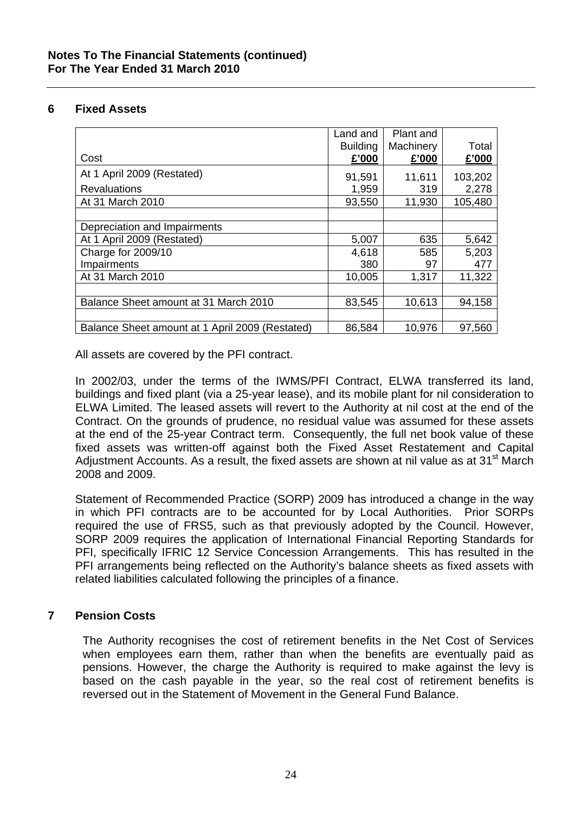### **6 Fixed Assets**

|                                                 | Land and        | Plant and |         |
|-------------------------------------------------|-----------------|-----------|---------|
|                                                 | <b>Building</b> | Machinery | Total   |
| Cost                                            | £'000           | £'000     | £'000   |
| At 1 April 2009 (Restated)                      | 91,591          | 11,611    | 103,202 |
| <b>Revaluations</b>                             | 1,959           | 319       | 2,278   |
| At 31 March 2010                                | 93,550          | 11,930    | 105,480 |
|                                                 |                 |           |         |
| Depreciation and Impairments                    |                 |           |         |
| At 1 April 2009 (Restated)                      | 5,007           | 635       | 5,642   |
| Charge for 2009/10                              | 4,618           | 585       | 5,203   |
| Impairments                                     | 380             | 97        | 477     |
| At 31 March 2010                                | 10,005          | 1,317     | 11,322  |
|                                                 |                 |           |         |
| Balance Sheet amount at 31 March 2010           | 83,545          | 10,613    | 94,158  |
|                                                 |                 |           |         |
| Balance Sheet amount at 1 April 2009 (Restated) | 86,584          | 10,976    | 97,560  |

All assets are covered by the PFI contract.

In 2002/03, under the terms of the IWMS/PFI Contract, ELWA transferred its land, buildings and fixed plant (via a 25-year lease), and its mobile plant for nil consideration to ELWA Limited. The leased assets will revert to the Authority at nil cost at the end of the Contract. On the grounds of prudence, no residual value was assumed for these assets at the end of the 25-year Contract term. Consequently, the full net book value of these fixed assets was written-off against both the Fixed Asset Restatement and Capital Adjustment Accounts. As a result, the fixed assets are shown at nil value as at 31<sup>st</sup> March 2008 and 2009.

Statement of Recommended Practice (SORP) 2009 has introduced a change in the way in which PFI contracts are to be accounted for by Local Authorities. Prior SORPs required the use of FRS5, such as that previously adopted by the Council. However, SORP 2009 requires the application of International Financial Reporting Standards for PFI, specifically IFRIC 12 Service Concession Arrangements. This has resulted in the PFI arrangements being reflected on the Authority's balance sheets as fixed assets with related liabilities calculated following the principles of a finance.

### **7 Pension Costs**

The Authority recognises the cost of retirement benefits in the Net Cost of Services when employees earn them, rather than when the benefits are eventually paid as pensions. However, the charge the Authority is required to make against the levy is based on the cash payable in the year, so the real cost of retirement benefits is reversed out in the Statement of Movement in the General Fund Balance.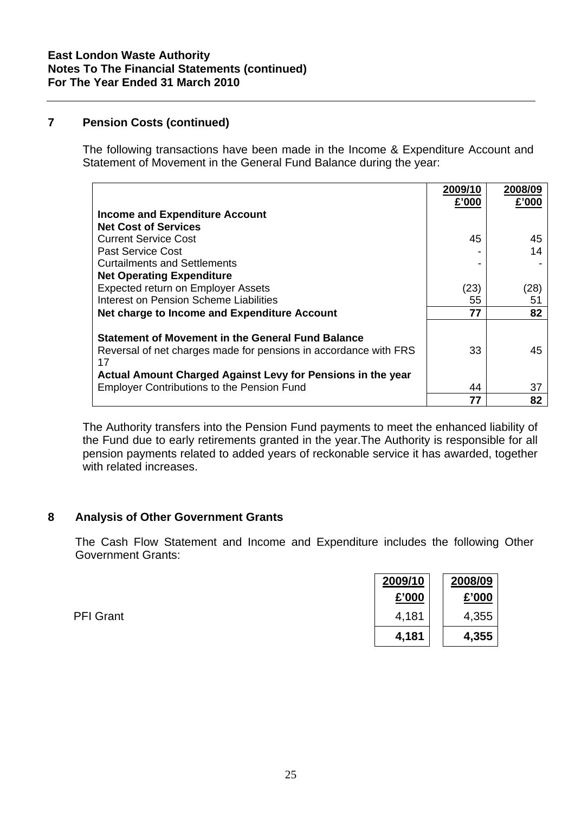# **7 Pension Costs (continued)**

The following transactions have been made in the Income & Expenditure Account and Statement of Movement in the General Fund Balance during the year:

|                                                                        | 2009/10<br>£'000 | 2008/09<br>£'000 |
|------------------------------------------------------------------------|------------------|------------------|
| <b>Income and Expenditure Account</b>                                  |                  |                  |
| <b>Net Cost of Services</b>                                            |                  |                  |
| <b>Current Service Cost</b>                                            | 45               | 45               |
| Past Service Cost                                                      |                  | 14               |
| <b>Curtailments and Settlements</b>                                    |                  |                  |
| <b>Net Operating Expenditure</b>                                       |                  |                  |
| Expected return on Employer Assets                                     | (23)             | (28)             |
| Interest on Pension Scheme Liabilities                                 | 55               | 51               |
| Net charge to Income and Expenditure Account                           | 77               | 82               |
|                                                                        |                  |                  |
| <b>Statement of Movement in the General Fund Balance</b>               |                  |                  |
| Reversal of net charges made for pensions in accordance with FRS<br>17 | 33               | 45               |
| Actual Amount Charged Against Levy for Pensions in the year            |                  |                  |
| <b>Employer Contributions to the Pension Fund</b>                      | 44               | 37               |
|                                                                        | 77               | 82               |

The Authority transfers into the Pension Fund payments to meet the enhanced liability of the Fund due to early retirements granted in the year.The Authority is responsible for all pension payments related to added years of reckonable service it has awarded, together with related increases.

### **8 Analysis of Other Government Grants**

The Cash Flow Statement and Income and Expenditure includes the following Other Government Grants:

|                  | 2009/10 | 2008/09 |
|------------------|---------|---------|
|                  | £'000   | £'000   |
| <b>PFI Grant</b> | 4,181   | 4,355   |
|                  | 4,181   | 4,355   |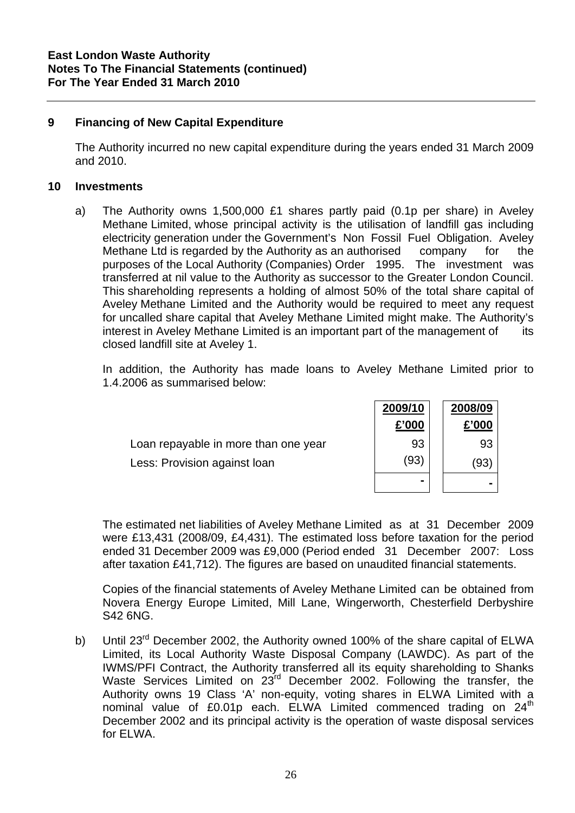### **9 Financing of New Capital Expenditure**

The Authority incurred no new capital expenditure during the years ended 31 March 2009 and 2010.

### **10 Investments**

a) The Authority owns 1,500,000 £1 shares partly paid (0.1p per share) in Aveley Methane Limited, whose principal activity is the utilisation of landfill gas including electricity generation under the Government's Non Fossil Fuel Obligation. Aveley Methane Ltd is regarded by the Authority as an authorised company for the purposes of the Local Authority (Companies) Order 1995. The investment was transferred at nil value to the Authority as successor to the Greater London Council. This shareholding represents a holding of almost 50% of the total share capital of Aveley Methane Limited and the Authority would be required to meet any request for uncalled share capital that Aveley Methane Limited might make. The Authority's interest in Aveley Methane Limited is an important part of the management of its closed landfill site at Aveley 1.

 In addition, the Authority has made loans to Aveley Methane Limited prior to 1.4.2006 as summarised below:

|                                      | 2009/10 | 2008/09      |
|--------------------------------------|---------|--------------|
|                                      | £'000   | £'000        |
| Loan repayable in more than one year | 93      | 93           |
| Less: Provision against loan         | (93)    | $ 93\rangle$ |
|                                      | -       |              |

The estimated net liabilities of Aveley Methane Limited as at 31 December 2009 were £13,431 (2008/09, £4,431). The estimated loss before taxation for the period ended 31 December 2009 was £9,000 (Period ended 31 December 2007: Loss after taxation £41,712). The figures are based on unaudited financial statements.

Copies of the financial statements of Aveley Methane Limited can be obtained from Novera Energy Europe Limited, Mill Lane, Wingerworth, Chesterfield Derbyshire S42 6NG.

b) Until 23<sup>rd</sup> December 2002, the Authority owned 100% of the share capital of ELWA Limited, its Local Authority Waste Disposal Company (LAWDC). As part of the IWMS/PFI Contract, the Authority transferred all its equity shareholding to Shanks Waste Services Limited on 23<sup>rd</sup> December 2002. Following the transfer, the Authority owns 19 Class 'A' non-equity, voting shares in ELWA Limited with a nominal value of £0.01p each. ELWA Limited commenced trading on 24<sup>th</sup> December 2002 and its principal activity is the operation of waste disposal services for ELWA.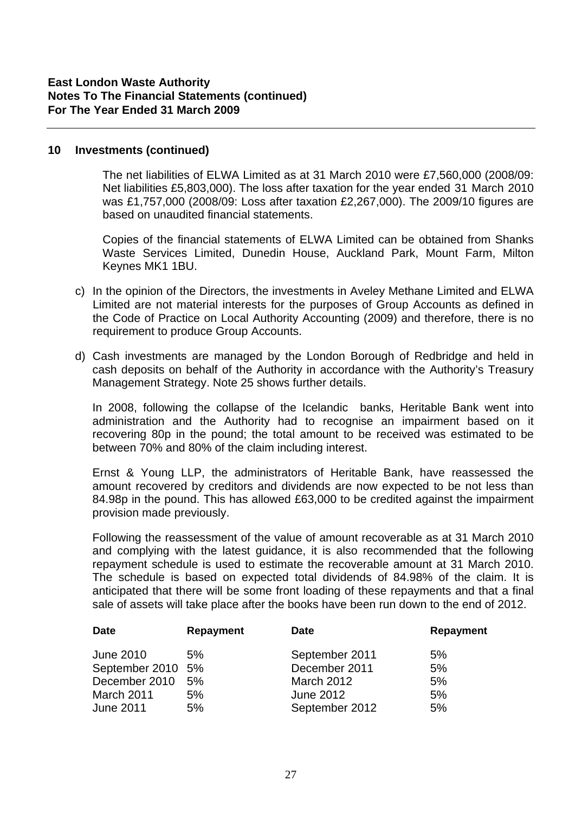### **10 Investments (continued)**

 The net liabilities of ELWA Limited as at 31 March 2010 were £7,560,000 (2008/09: Net liabilities £5,803,000). The loss after taxation for the year ended 31 March 2010 was £1,757,000 (2008/09: Loss after taxation £2,267,000). The 2009/10 figures are based on unaudited financial statements.

 Copies of the financial statements of ELWA Limited can be obtained from Shanks Waste Services Limited, Dunedin House, Auckland Park, Mount Farm, Milton Keynes MK1 1BU.

- c) In the opinion of the Directors, the investments in Aveley Methane Limited and ELWA Limited are not material interests for the purposes of Group Accounts as defined in the Code of Practice on Local Authority Accounting (2009) and therefore, there is no requirement to produce Group Accounts.
- d) Cash investments are managed by the London Borough of Redbridge and held in cash deposits on behalf of the Authority in accordance with the Authority's Treasury Management Strategy. Note 25 shows further details.

In 2008, following the collapse of the Icelandic banks, Heritable Bank went into administration and the Authority had to recognise an impairment based on it recovering 80p in the pound; the total amount to be received was estimated to be between 70% and 80% of the claim including interest.

Ernst & Young LLP, the administrators of Heritable Bank, have reassessed the amount recovered by creditors and dividends are now expected to be not less than 84.98p in the pound. This has allowed £63,000 to be credited against the impairment provision made previously.

Following the reassessment of the value of amount recoverable as at 31 March 2010 and complying with the latest guidance, it is also recommended that the following repayment schedule is used to estimate the recoverable amount at 31 March 2010. The schedule is based on expected total dividends of 84.98% of the claim. It is anticipated that there will be some front loading of these repayments and that a final sale of assets will take place after the books have been run down to the end of 2012.

| <b>Date</b>       | <b>Repayment</b> | <b>Date</b>       | Repayment |
|-------------------|------------------|-------------------|-----------|
| <b>June 2010</b>  | 5%               | September 2011    | 5%        |
| September 2010 5% |                  | December 2011     | 5%        |
| December 2010 5%  |                  | <b>March 2012</b> | 5%        |
| March 2011        | 5%               | June 2012         | 5%        |
| <b>June 2011</b>  | 5%               | September 2012    | 5%        |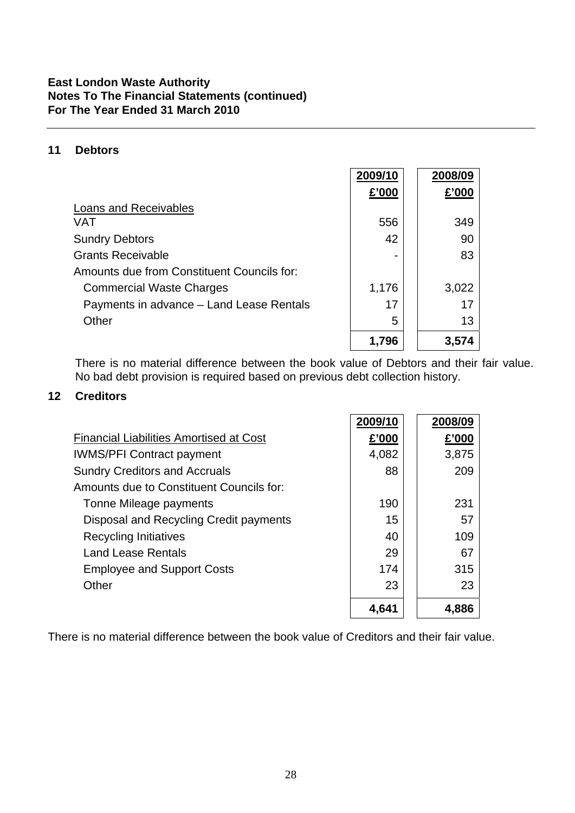### **East London Waste Authority Notes To The Financial Statements (continued) For The Year Ended 31 March 2010**

### **11 Debtors**

|                                            | 2009/10 | 2008/09 |
|--------------------------------------------|---------|---------|
|                                            | £'000   | £'000   |
| Loans and Receivables                      |         |         |
| VAT                                        | 556     | 349     |
| <b>Sundry Debtors</b>                      | 42      | 90      |
| <b>Grants Receivable</b>                   |         | 83      |
| Amounts due from Constituent Councils for: |         |         |
| <b>Commercial Waste Charges</b>            | 1,176   | 3,022   |
| Payments in advance - Land Lease Rentals   | 17      | 17      |
| Other                                      | 5       | 13      |
|                                            | 1,796   | 3.574   |

 There is no material difference between the book value of Debtors and their fair value. No bad debt provision is required based on previous debt collection history.

### **12 Creditors**

|                                                | 2009/10 | 2008/09 |
|------------------------------------------------|---------|---------|
| <b>Financial Liabilities Amortised at Cost</b> | £'000   | £'000   |
| <b>IWMS/PFI Contract payment</b>               | 4,082   | 3,875   |
| <b>Sundry Creditors and Accruals</b>           | 88      | 209     |
| Amounts due to Constituent Councils for:       |         |         |
| Tonne Mileage payments                         | 190     | 231     |
| Disposal and Recycling Credit payments         | 15      | 57      |
| <b>Recycling Initiatives</b>                   | 40      | 109     |
| <b>Land Lease Rentals</b>                      | 29      | 67      |
| <b>Employee and Support Costs</b>              | 174     | 315     |
| Other                                          | 23      | 23      |
|                                                | 4,641   | 4.886   |

There is no material difference between the book value of Creditors and their fair value.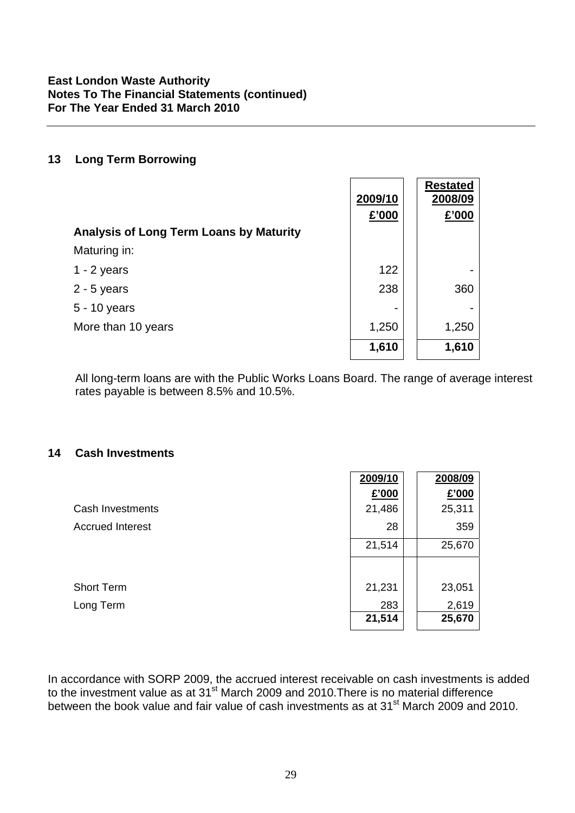### **13 Long Term Borrowing**

|                                                | 2009/10<br>£'000 | <b>Restated</b><br>2008/09<br>£'000 |
|------------------------------------------------|------------------|-------------------------------------|
| <b>Analysis of Long Term Loans by Maturity</b> |                  |                                     |
| Maturing in:                                   |                  |                                     |
| $1 - 2$ years                                  | 122              |                                     |
| $2 - 5$ years                                  | 238              | 360                                 |
| 5 - 10 years                                   |                  |                                     |
| More than 10 years                             | 1,250            | 1,250                               |
|                                                | 1,610            | 1,610                               |

All long-term loans are with the Public Works Loans Board. The range of average interest rates payable is between 8.5% and 10.5%.

### **14 Cash Investments**

|                         | 2009/10 | 2008/09 |
|-------------------------|---------|---------|
|                         | £'000   | £'000   |
| Cash Investments        | 21,486  | 25,311  |
| <b>Accrued Interest</b> | 28      | 359     |
|                         | 21,514  | 25,670  |
|                         |         |         |
| <b>Short Term</b>       | 21,231  | 23,051  |
| Long Term               | 283     | 2,619   |
|                         | 21,514  | 25,670  |

In accordance with SORP 2009, the accrued interest receivable on cash investments is added to the investment value as at  $31^{st}$  March 2009 and 2010. There is no material difference between the book value and fair value of cash investments as at 31st March 2009 and 2010.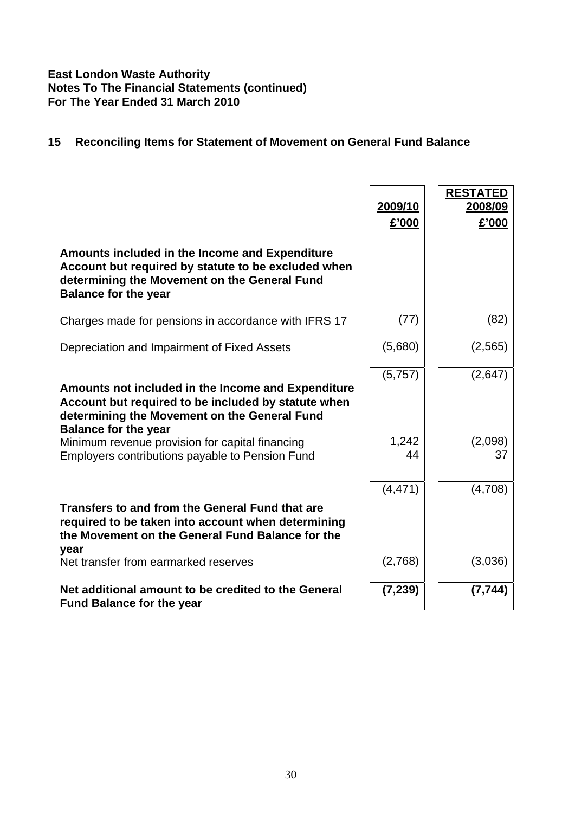# **15 Reconciling Items for Statement of Movement on General Fund Balance**

|                                                                                                                                                                                                                                                                                                | 2009/10<br>£'000       | <b>RESTATED</b><br>2008/09<br>£'000 |
|------------------------------------------------------------------------------------------------------------------------------------------------------------------------------------------------------------------------------------------------------------------------------------------------|------------------------|-------------------------------------|
| Amounts included in the Income and Expenditure<br>Account but required by statute to be excluded when<br>determining the Movement on the General Fund<br><b>Balance for the year</b>                                                                                                           |                        |                                     |
| Charges made for pensions in accordance with IFRS 17                                                                                                                                                                                                                                           | (77)                   | (82)                                |
| Depreciation and Impairment of Fixed Assets                                                                                                                                                                                                                                                    | (5,680)                | (2,565)                             |
| Amounts not included in the Income and Expenditure<br>Account but required to be included by statute when<br>determining the Movement on the General Fund<br><b>Balance for the year</b><br>Minimum revenue provision for capital financing<br>Employers contributions payable to Pension Fund | (5,757)<br>1,242<br>44 | (2,647)<br>(2,098)<br>37            |
|                                                                                                                                                                                                                                                                                                | (4, 471)               | (4,708)                             |
| Transfers to and from the General Fund that are<br>required to be taken into account when determining<br>the Movement on the General Fund Balance for the<br>year                                                                                                                              |                        |                                     |
| Net transfer from earmarked reserves                                                                                                                                                                                                                                                           | (2,768)                | (3,036)                             |
| Net additional amount to be credited to the General<br><b>Fund Balance for the year</b>                                                                                                                                                                                                        | (7, 239)               | (7, 744)                            |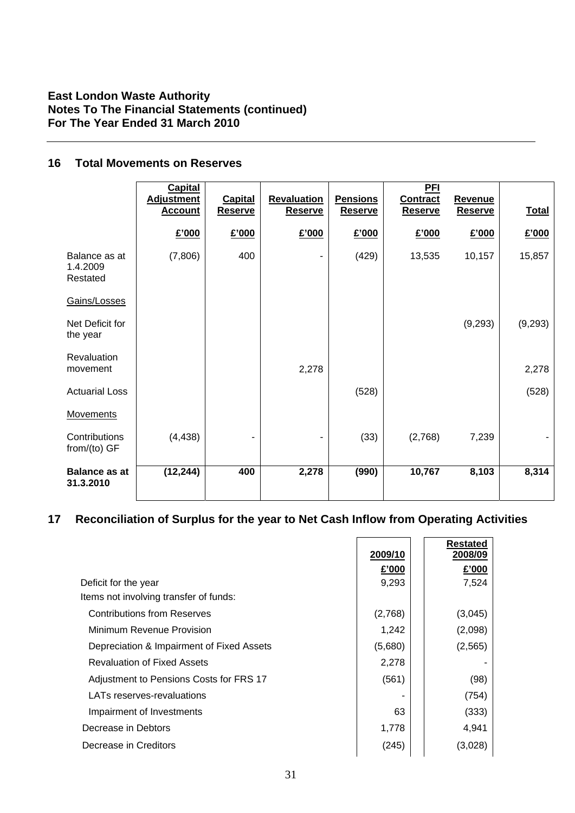### **East London Waste Authority Notes To The Financial Statements (continued) For The Year Ended 31 March 2010**

# **16 Total Movements on Reserves**

|                                       | <b>Capital</b><br><b>Adjustment</b> | <b>Capital</b> | Revaluation    | <b>Pensions</b> | <b>PFI</b><br><b>Contract</b> | <b>Revenue</b> |              |
|---------------------------------------|-------------------------------------|----------------|----------------|-----------------|-------------------------------|----------------|--------------|
|                                       | <b>Account</b>                      | <b>Reserve</b> | <b>Reserve</b> | <b>Reserve</b>  | <b>Reserve</b>                | <b>Reserve</b> | <b>Total</b> |
|                                       | £'000                               | £'000          | £'000          | £'000           | £'000                         | £'000          | £'000        |
| Balance as at<br>1.4.2009<br>Restated | (7,806)                             | 400            |                | (429)           | 13,535                        | 10,157         | 15,857       |
| Gains/Losses                          |                                     |                |                |                 |                               |                |              |
| Net Deficit for<br>the year           |                                     |                |                |                 |                               | (9, 293)       | (9, 293)     |
| Revaluation<br>movement               |                                     |                | 2,278          |                 |                               |                | 2,278        |
| <b>Actuarial Loss</b>                 |                                     |                |                | (528)           |                               |                | (528)        |
| <b>Movements</b>                      |                                     |                |                |                 |                               |                |              |
| Contributions<br>from/(to) GF         | (4, 438)                            |                |                | (33)            | (2,768)                       | 7,239          |              |
| <b>Balance as at</b><br>31.3.2010     | (12, 244)                           | 400            | 2,278          | (990)           | 10,767                        | 8,103          | 8,314        |

# **17 Reconciliation of Surplus for the year to Net Cash Inflow from Operating Activities**

|                                           | 2009/10 | <b>Restated</b><br>2008/09 |
|-------------------------------------------|---------|----------------------------|
|                                           | £'000   | £'000                      |
| Deficit for the year                      | 9,293   | 7,524                      |
| Items not involving transfer of funds:    |         |                            |
| <b>Contributions from Reserves</b>        | (2,768) | (3,045)                    |
| Minimum Revenue Provision                 | 1,242   | (2,098)                    |
| Depreciation & Impairment of Fixed Assets | (5,680) | (2, 565)                   |
| <b>Revaluation of Fixed Assets</b>        | 2,278   |                            |
| Adjustment to Pensions Costs for FRS 17   | (561)   | (98)                       |
| LATs reserves-revaluations                |         | (754)                      |
| Impairment of Investments                 | 63      | (333)                      |
| Decrease in Debtors                       | 1,778   | 4,941                      |
| Decrease in Creditors                     | (245)   | (3,028)                    |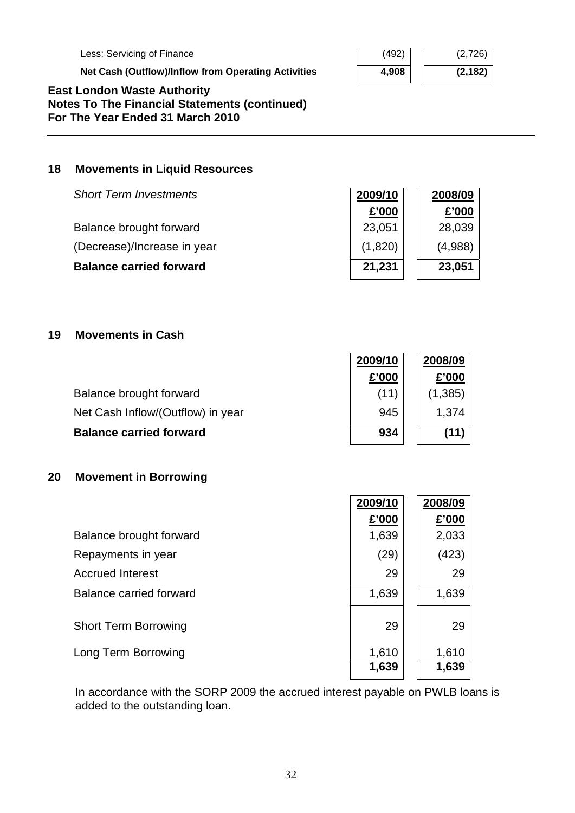Less: Servicing of Finance

**Net Cash (Outflow)/Inflow from Operating Activities** 

| 4,908 | (2, 182) |
|-------|----------|
| (492) | (2,726)  |

### **East London Waste Authority Notes To The Financial Statements (continued) For The Year Ended 31 March 2010**

### **18 Movements in Liquid Resources**

| <b>Short Term Investments</b>  | 2009/10 | 2008/09 |
|--------------------------------|---------|---------|
|                                | £'000   | £'000   |
| Balance brought forward        | 23,051  | 28,039  |
| (Decrease)/Increase in year    | (1,820) | (4,988) |
| <b>Balance carried forward</b> | 21,231  | 23,051  |

### **19 Movements in Cash**

|                                   | 2009/10 | 2008/09  |
|-----------------------------------|---------|----------|
|                                   | £'000   | £'000    |
| Balance brought forward           | (11)    | (1, 385) |
| Net Cash Inflow/(Outflow) in year | 945     | 1.374    |
| <b>Balance carried forward</b>    | 934     | (11)     |

### **20 Movement in Borrowing**

|                             | 2009/10        | 2008/09        |
|-----------------------------|----------------|----------------|
|                             | £'000          | £'000          |
| Balance brought forward     | 1,639          | 2,033          |
| Repayments in year          | (29)           | (423)          |
| <b>Accrued Interest</b>     | 29             | 29             |
| Balance carried forward     | 1,639          | 1,639          |
| <b>Short Term Borrowing</b> | 29             | 29             |
|                             |                |                |
| Long Term Borrowing         | 1,610<br>1,639 | 1,610<br>1,639 |
|                             |                |                |

In accordance with the SORP 2009 the accrued interest payable on PWLB loans is added to the outstanding loan.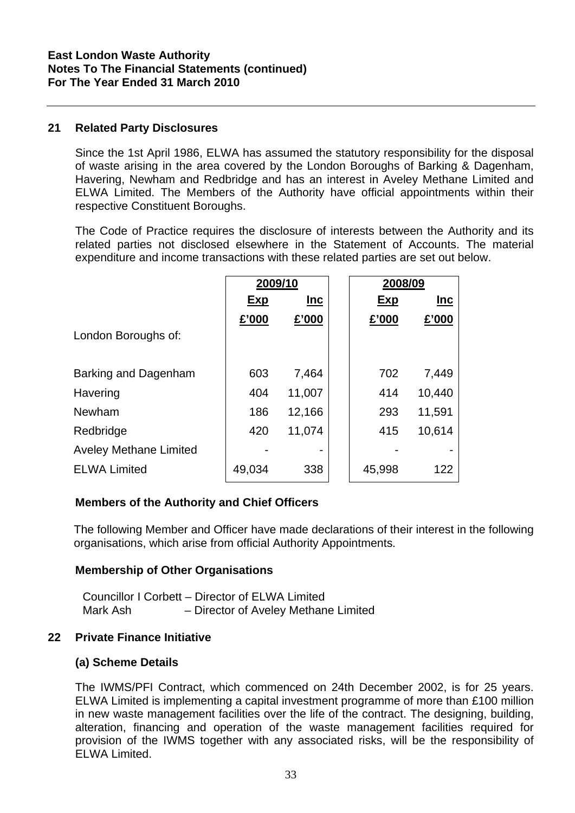### **21 Related Party Disclosures**

Since the 1st April 1986, ELWA has assumed the statutory responsibility for the disposal of waste arising in the area covered by the London Boroughs of Barking & Dagenham, Havering, Newham and Redbridge and has an interest in Aveley Methane Limited and ELWA Limited. The Members of the Authority have official appointments within their respective Constituent Boroughs.

The Code of Practice requires the disclosure of interests between the Authority and its related parties not disclosed elsewhere in the Statement of Accounts. The material expenditure and income transactions with these related parties are set out below.

|                               | 2009/10 |            | 2008/09 |            |  |
|-------------------------------|---------|------------|---------|------------|--|
|                               | Exp     | <u>Inc</u> | Exp     | <b>Inc</b> |  |
|                               | £'000   | £'000      | £'000   | £'000      |  |
| London Boroughs of:           |         |            |         |            |  |
|                               |         |            |         |            |  |
| Barking and Dagenham          | 603     | 7,464      | 702     | 7,449      |  |
| Havering                      | 404     | 11,007     | 414     | 10,440     |  |
| Newham                        | 186     | 12,166     | 293     | 11,591     |  |
| Redbridge                     | 420     | 11,074     | 415     | 10,614     |  |
| <b>Aveley Methane Limited</b> |         |            |         |            |  |
| <b>ELWA Limited</b>           | 49,034  | 338        | 45,998  | 122        |  |
|                               |         |            |         |            |  |

### **Members of the Authority and Chief Officers**

The following Member and Officer have made declarations of their interest in the following organisations, which arise from official Authority Appointments.

### **Membership of Other Organisations**

|          | Councillor I Corbett – Director of ELWA Limited |
|----------|-------------------------------------------------|
| Mark Ash | - Director of Aveley Methane Limited            |

### **22 Private Finance Initiative**

### **(a) Scheme Details**

The IWMS/PFI Contract, which commenced on 24th December 2002, is for 25 years. ELWA Limited is implementing a capital investment programme of more than £100 million in new waste management facilities over the life of the contract. The designing, building, alteration, financing and operation of the waste management facilities required for provision of the IWMS together with any associated risks, will be the responsibility of ELWA Limited.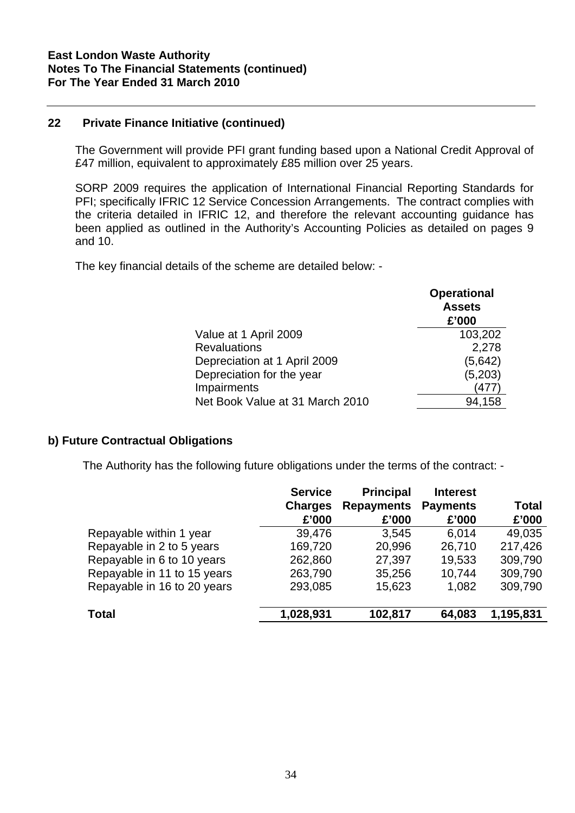### **22 Private Finance Initiative (continued)**

The Government will provide PFI grant funding based upon a National Credit Approval of £47 million, equivalent to approximately £85 million over 25 years.

SORP 2009 requires the application of International Financial Reporting Standards for PFI; specifically IFRIC 12 Service Concession Arrangements. The contract complies with the criteria detailed in IFRIC 12, and therefore the relevant accounting guidance has been applied as outlined in the Authority's Accounting Policies as detailed on pages 9 and 10.

The key financial details of the scheme are detailed below: -

|                                 | <b>Operational</b><br><b>Assets</b><br>£'000 |
|---------------------------------|----------------------------------------------|
| Value at 1 April 2009           | 103,202                                      |
| <b>Revaluations</b>             | 2,278                                        |
| Depreciation at 1 April 2009    | (5,642)                                      |
| Depreciation for the year       | (5,203)                                      |
| Impairments                     | 477                                          |
| Net Book Value at 31 March 2010 | 94,158                                       |

### **b) Future Contractual Obligations**

The Authority has the following future obligations under the terms of the contract: -

|                             | <b>Service</b> | <b>Principal</b>  | <b>Interest</b> |              |
|-----------------------------|----------------|-------------------|-----------------|--------------|
|                             | <b>Charges</b> | <b>Repayments</b> | <b>Payments</b> | <b>Total</b> |
|                             | £'000          | £'000             | £'000           | £'000        |
| Repayable within 1 year     | 39,476         | 3,545             | 6.014           | 49,035       |
| Repayable in 2 to 5 years   | 169,720        | 20,996            | 26,710          | 217,426      |
| Repayable in 6 to 10 years  | 262,860        | 27,397            | 19,533          | 309,790      |
| Repayable in 11 to 15 years | 263,790        | 35,256            | 10,744          | 309,790      |
| Repayable in 16 to 20 years | 293,085        | 15,623            | 1,082           | 309,790      |
| <b>Total</b>                | 1,028,931      | 102,817           | 64,083          | 1,195,831    |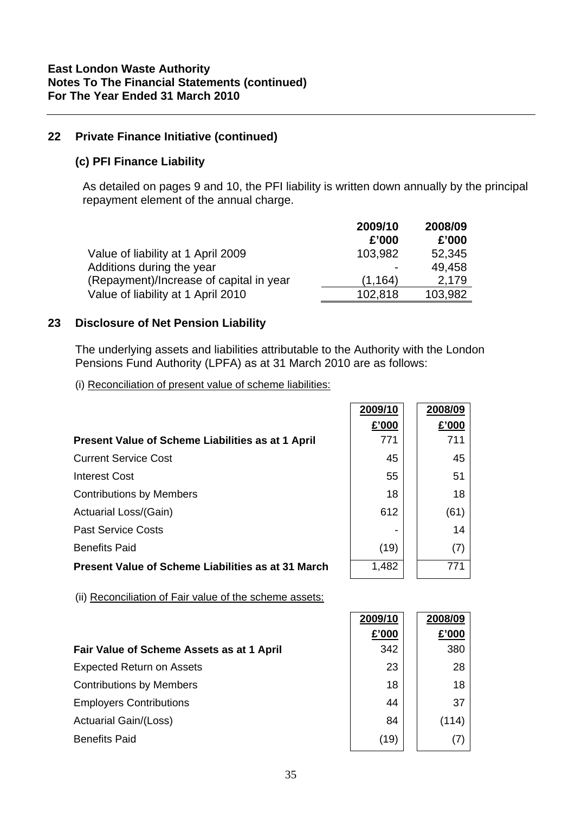### **22 Private Finance Initiative (continued)**

### **(c) PFI Finance Liability**

As detailed on pages 9 and 10, the PFI liability is written down annually by the principal repayment element of the annual charge.

|                                         | 2009/10 | 2008/09 |
|-----------------------------------------|---------|---------|
|                                         | £'000   | £'000   |
| Value of liability at 1 April 2009      | 103,982 | 52,345  |
| Additions during the year               |         | 49.458  |
| (Repayment)/Increase of capital in year | (1.164) | 2.179   |
| Value of liability at 1 April 2010      | 102,818 | 103,982 |

### **23 Disclosure of Net Pension Liability**

The underlying assets and liabilities attributable to the Authority with the London Pensions Fund Authority (LPFA) as at 31 March 2010 are as follows:

(i) Reconciliation of present value of scheme liabilities:

|                                                           | 2009/10 | 2008/09 |
|-----------------------------------------------------------|---------|---------|
|                                                           | £'000   | £'000   |
| Present Value of Scheme Liabilities as at 1 April         | 771     | 711     |
| <b>Current Service Cost</b>                               | 45      | 45      |
| <b>Interest Cost</b>                                      | 55      | 51      |
| <b>Contributions by Members</b>                           | 18      | 18      |
| Actuarial Loss/(Gain)                                     | 612     | (61)    |
| <b>Past Service Costs</b>                                 |         | 14      |
| <b>Benefits Paid</b>                                      | (19)    | (7)     |
| <b>Present Value of Scheme Liabilities as at 31 March</b> | 1,482   | 771     |

(ii) Reconciliation of Fair value of the scheme assets:

|                                           | 2009/10 | 2008/09 |
|-------------------------------------------|---------|---------|
|                                           | £'000   | £'000   |
| Fair Value of Scheme Assets as at 1 April | 342     | 380     |
| <b>Expected Return on Assets</b>          | 23      | 28      |
| <b>Contributions by Members</b>           | 18      | 18      |
| <b>Employers Contributions</b>            | 44      | 37      |
| <b>Actuarial Gain/(Loss)</b>              | 84      | (114)   |
| <b>Benefits Paid</b>                      | (19)    |         |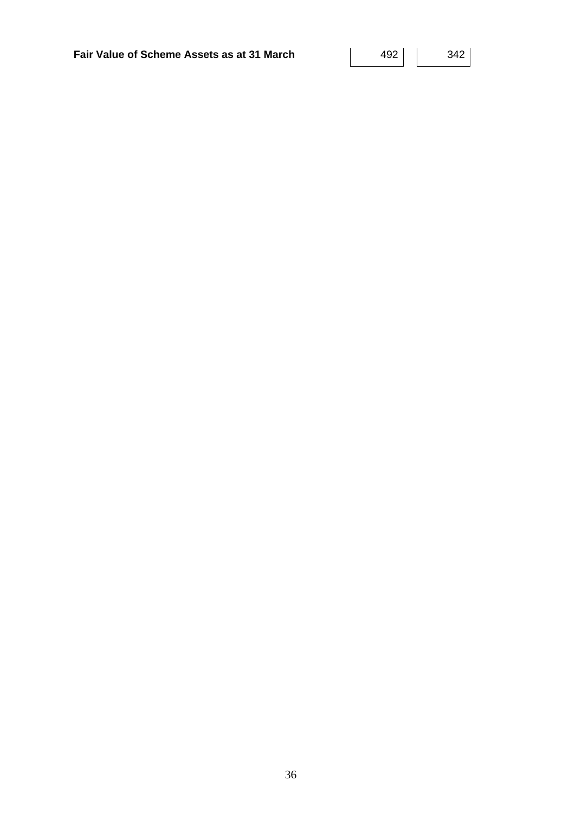| Fair Value of Scheme Assets as at 31 March | 342 |  |
|--------------------------------------------|-----|--|
|                                            |     |  |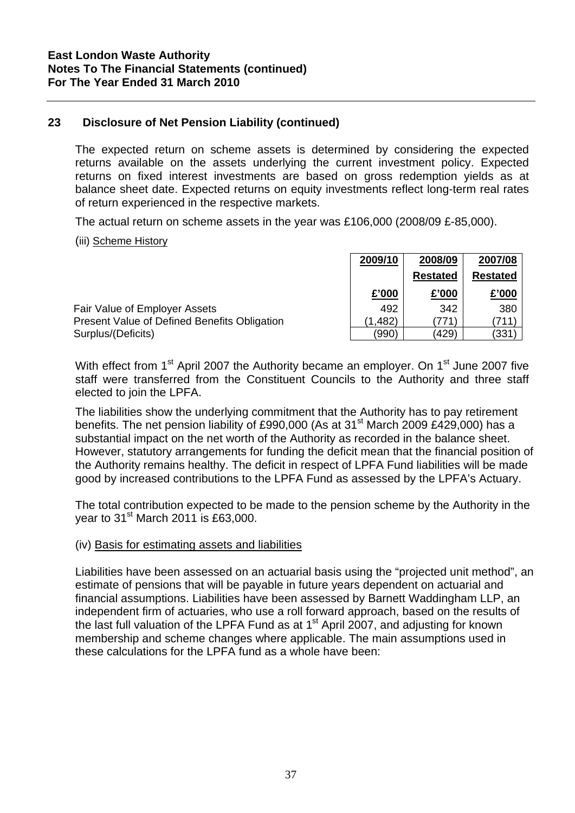### **23 Disclosure of Net Pension Liability (continued)**

The expected return on scheme assets is determined by considering the expected returns available on the assets underlying the current investment policy. Expected returns on fixed interest investments are based on gross redemption yields as at balance sheet date. Expected returns on equity investments reflect long-term real rates of return experienced in the respective markets.

The actual return on scheme assets in the year was £106,000 (2008/09 £-85,000).

### (iii) Scheme History

|                                              | 2009/10  | 2008/09         | 2007/08         |
|----------------------------------------------|----------|-----------------|-----------------|
|                                              |          | <b>Restated</b> | <b>Restated</b> |
|                                              | £'000    | £'000           | £'000           |
| Fair Value of Employer Assets                | 492      | 342             | 380             |
| Present Value of Defined Benefits Obligation | (1, 482) | 771             |                 |
| Surplus/(Deficits)                           | (990)    | (429)           | (331            |

With effect from 1<sup>st</sup> April 2007 the Authority became an employer. On 1<sup>st</sup> June 2007 five staff were transferred from the Constituent Councils to the Authority and three staff elected to join the LPFA.

The liabilities show the underlying commitment that the Authority has to pay retirement benefits. The net pension liability of £990,000 (As at 31<sup>st</sup> March 2009 £429,000) has a substantial impact on the net worth of the Authority as recorded in the balance sheet. However, statutory arrangements for funding the deficit mean that the financial position of the Authority remains healthy. The deficit in respect of LPFA Fund liabilities will be made good by increased contributions to the LPFA Fund as assessed by the LPFA's Actuary.

The total contribution expected to be made to the pension scheme by the Authority in the year to  $31<sup>st</sup>$  March 2011 is £63,000.

### (iv) Basis for estimating assets and liabilities

Liabilities have been assessed on an actuarial basis using the "projected unit method", an estimate of pensions that will be payable in future years dependent on actuarial and financial assumptions. Liabilities have been assessed by Barnett Waddingham LLP, an independent firm of actuaries, who use a roll forward approach, based on the results of the last full valuation of the LPFA Fund as at  $1<sup>st</sup>$  April 2007, and adjusting for known membership and scheme changes where applicable. The main assumptions used in these calculations for the LPFA fund as a whole have been: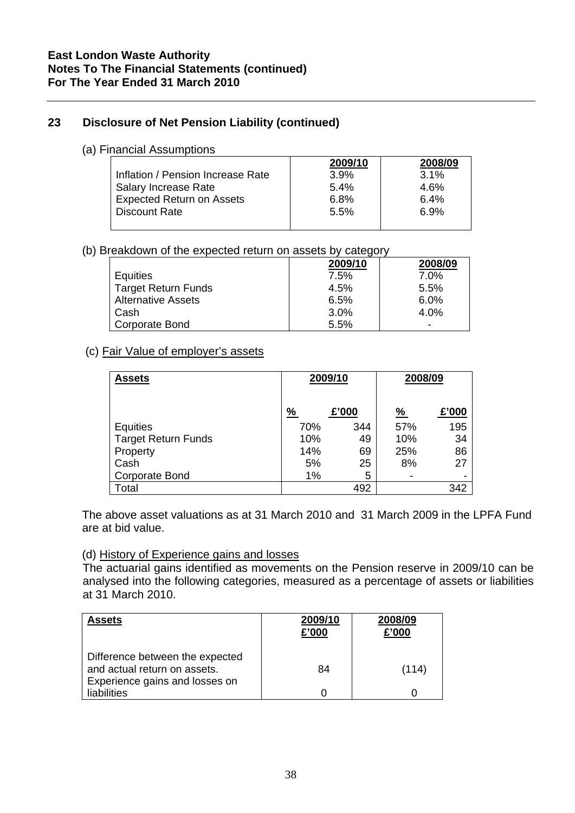# **23 Disclosure of Net Pension Liability (continued)**

### (a) Financial Assumptions

|                                   | 2009/10 | 2008/09 |
|-----------------------------------|---------|---------|
| Inflation / Pension Increase Rate | 3.9%    | $3.1\%$ |
| Salary Increase Rate              | 5.4%    | $4.6\%$ |
| <b>Expected Return on Assets</b>  | 6.8%    | 6.4%    |
| <b>Discount Rate</b>              | 5.5%    | 6.9%    |
|                                   |         |         |

### (b) Breakdown of the expected return on assets by category

|                           | 2009/10 | 2008/09 |
|---------------------------|---------|---------|
| Equities                  | 7.5%    | $7.0\%$ |
| Target Return Funds       | 4.5%    | 5.5%    |
| <b>Alternative Assets</b> | 6.5%    | $6.0\%$ |
| Cash                      | 3.0%    | 4.0%    |
| Corporate Bond            | 5.5%    |         |

### (c) Fair Value of employer's assets

| <b>Assets</b>              | 2009/10 |       |               |       |  | 2008/09 |
|----------------------------|---------|-------|---------------|-------|--|---------|
|                            | %       | £'000 | $\frac{9}{6}$ | £'000 |  |         |
| Equities                   | 70%     | 344   | 57%           | 195   |  |         |
| <b>Target Return Funds</b> | 10%     | 49    | 10%           | 34    |  |         |
| Property                   | 14%     | 69    | 25%           | 86    |  |         |
| Cash                       | 5%      | 25    | 8%            | 27    |  |         |
| <b>Corporate Bond</b>      | 1%      | 5     |               |       |  |         |
| Total                      |         | 492   |               | 342   |  |         |

The above asset valuations as at 31 March 2010 and 31 March 2009 in the LPFA Fund are at bid value.

### (d) History of Experience gains and losses

The actuarial gains identified as movements on the Pension reserve in 2009/10 can be analysed into the following categories, measured as a percentage of assets or liabilities at 31 March 2010.

| <b>Assets</b>                                                                                     | 2009/10<br>£'000 | 2008/09<br>£'000 |
|---------------------------------------------------------------------------------------------------|------------------|------------------|
| Difference between the expected<br>and actual return on assets.<br>Experience gains and losses on | 84               | (114)            |
| liabilities                                                                                       |                  |                  |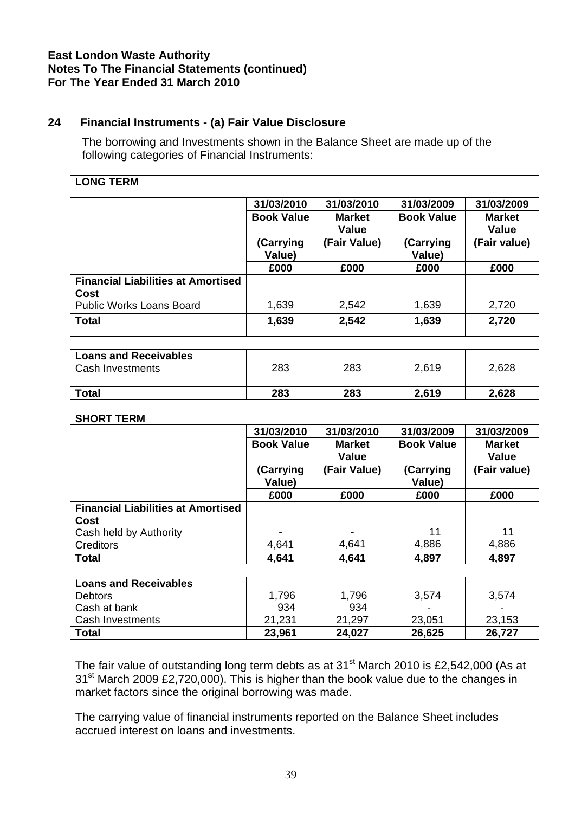# **24 Financial Instruments - (a) Fair Value Disclosure**

The borrowing and Investments shown in the Balance Sheet are made up of the following categories of Financial Instruments:

| 31/03/2010<br>31/03/2010<br>31/03/2009<br>31/03/2009<br><b>Book Value</b><br><b>Market</b><br><b>Book Value</b><br><b>Market</b><br><b>Value</b><br><b>Value</b><br>(Carrying<br>(Fair Value)<br>(Carrying<br>(Fair value)<br>Value)<br>Value)<br>£000<br>£000<br>£000<br>£000<br><b>Financial Liabilities at Amortised</b><br>Cost<br><b>Public Works Loans Board</b><br>1,639<br>2,542<br>1,639<br>2,720<br>2,542<br>1,639<br><b>Total</b><br>1,639<br>2,720<br><b>Loans and Receivables</b><br>283<br>283<br>2,619<br>2,628<br><b>Cash Investments</b><br><b>Total</b><br>283<br>283<br>2,628<br>2,619<br><b>SHORT TERM</b><br>31/03/2010<br>31/03/2010<br>31/03/2009<br>31/03/2009<br><b>Book Value</b><br><b>Market</b><br><b>Book Value</b><br><b>Market</b><br><b>Value</b><br><b>Value</b><br>(Carrying<br>(Fair Value)<br>(Carrying<br>(Fair value)<br>Value)<br>Value)<br>£000<br>£000<br>£000<br>£000<br><b>Financial Liabilities at Amortised</b><br>Cost<br>11<br>11<br>Cash held by Authority<br>4,641<br>4,641<br>4,886<br>4,886<br><b>Creditors</b><br><b>Total</b><br>4,641<br>4,641<br>4,897<br>4,897<br><b>Loans and Receivables</b><br>1,796<br>1,796<br><b>Debtors</b><br>3,574<br>3,574<br>934<br>934<br>Cash at bank<br>21,297<br>21,231<br>23,051<br>23,153<br>Cash Investments<br><b>Total</b><br>23,961<br>26,625<br>26,727<br>24,027 | <b>LONG TERM</b> |  |  |
|-----------------------------------------------------------------------------------------------------------------------------------------------------------------------------------------------------------------------------------------------------------------------------------------------------------------------------------------------------------------------------------------------------------------------------------------------------------------------------------------------------------------------------------------------------------------------------------------------------------------------------------------------------------------------------------------------------------------------------------------------------------------------------------------------------------------------------------------------------------------------------------------------------------------------------------------------------------------------------------------------------------------------------------------------------------------------------------------------------------------------------------------------------------------------------------------------------------------------------------------------------------------------------------------------------------------------------------------------------------------|------------------|--|--|
|                                                                                                                                                                                                                                                                                                                                                                                                                                                                                                                                                                                                                                                                                                                                                                                                                                                                                                                                                                                                                                                                                                                                                                                                                                                                                                                                                                 |                  |  |  |
|                                                                                                                                                                                                                                                                                                                                                                                                                                                                                                                                                                                                                                                                                                                                                                                                                                                                                                                                                                                                                                                                                                                                                                                                                                                                                                                                                                 |                  |  |  |
|                                                                                                                                                                                                                                                                                                                                                                                                                                                                                                                                                                                                                                                                                                                                                                                                                                                                                                                                                                                                                                                                                                                                                                                                                                                                                                                                                                 |                  |  |  |
|                                                                                                                                                                                                                                                                                                                                                                                                                                                                                                                                                                                                                                                                                                                                                                                                                                                                                                                                                                                                                                                                                                                                                                                                                                                                                                                                                                 |                  |  |  |
|                                                                                                                                                                                                                                                                                                                                                                                                                                                                                                                                                                                                                                                                                                                                                                                                                                                                                                                                                                                                                                                                                                                                                                                                                                                                                                                                                                 |                  |  |  |
|                                                                                                                                                                                                                                                                                                                                                                                                                                                                                                                                                                                                                                                                                                                                                                                                                                                                                                                                                                                                                                                                                                                                                                                                                                                                                                                                                                 |                  |  |  |
|                                                                                                                                                                                                                                                                                                                                                                                                                                                                                                                                                                                                                                                                                                                                                                                                                                                                                                                                                                                                                                                                                                                                                                                                                                                                                                                                                                 |                  |  |  |
|                                                                                                                                                                                                                                                                                                                                                                                                                                                                                                                                                                                                                                                                                                                                                                                                                                                                                                                                                                                                                                                                                                                                                                                                                                                                                                                                                                 |                  |  |  |
|                                                                                                                                                                                                                                                                                                                                                                                                                                                                                                                                                                                                                                                                                                                                                                                                                                                                                                                                                                                                                                                                                                                                                                                                                                                                                                                                                                 |                  |  |  |
|                                                                                                                                                                                                                                                                                                                                                                                                                                                                                                                                                                                                                                                                                                                                                                                                                                                                                                                                                                                                                                                                                                                                                                                                                                                                                                                                                                 |                  |  |  |
|                                                                                                                                                                                                                                                                                                                                                                                                                                                                                                                                                                                                                                                                                                                                                                                                                                                                                                                                                                                                                                                                                                                                                                                                                                                                                                                                                                 |                  |  |  |
|                                                                                                                                                                                                                                                                                                                                                                                                                                                                                                                                                                                                                                                                                                                                                                                                                                                                                                                                                                                                                                                                                                                                                                                                                                                                                                                                                                 |                  |  |  |
|                                                                                                                                                                                                                                                                                                                                                                                                                                                                                                                                                                                                                                                                                                                                                                                                                                                                                                                                                                                                                                                                                                                                                                                                                                                                                                                                                                 |                  |  |  |
|                                                                                                                                                                                                                                                                                                                                                                                                                                                                                                                                                                                                                                                                                                                                                                                                                                                                                                                                                                                                                                                                                                                                                                                                                                                                                                                                                                 |                  |  |  |
|                                                                                                                                                                                                                                                                                                                                                                                                                                                                                                                                                                                                                                                                                                                                                                                                                                                                                                                                                                                                                                                                                                                                                                                                                                                                                                                                                                 |                  |  |  |
|                                                                                                                                                                                                                                                                                                                                                                                                                                                                                                                                                                                                                                                                                                                                                                                                                                                                                                                                                                                                                                                                                                                                                                                                                                                                                                                                                                 |                  |  |  |
|                                                                                                                                                                                                                                                                                                                                                                                                                                                                                                                                                                                                                                                                                                                                                                                                                                                                                                                                                                                                                                                                                                                                                                                                                                                                                                                                                                 |                  |  |  |
|                                                                                                                                                                                                                                                                                                                                                                                                                                                                                                                                                                                                                                                                                                                                                                                                                                                                                                                                                                                                                                                                                                                                                                                                                                                                                                                                                                 |                  |  |  |
|                                                                                                                                                                                                                                                                                                                                                                                                                                                                                                                                                                                                                                                                                                                                                                                                                                                                                                                                                                                                                                                                                                                                                                                                                                                                                                                                                                 |                  |  |  |
|                                                                                                                                                                                                                                                                                                                                                                                                                                                                                                                                                                                                                                                                                                                                                                                                                                                                                                                                                                                                                                                                                                                                                                                                                                                                                                                                                                 |                  |  |  |
|                                                                                                                                                                                                                                                                                                                                                                                                                                                                                                                                                                                                                                                                                                                                                                                                                                                                                                                                                                                                                                                                                                                                                                                                                                                                                                                                                                 |                  |  |  |
|                                                                                                                                                                                                                                                                                                                                                                                                                                                                                                                                                                                                                                                                                                                                                                                                                                                                                                                                                                                                                                                                                                                                                                                                                                                                                                                                                                 |                  |  |  |
|                                                                                                                                                                                                                                                                                                                                                                                                                                                                                                                                                                                                                                                                                                                                                                                                                                                                                                                                                                                                                                                                                                                                                                                                                                                                                                                                                                 |                  |  |  |
|                                                                                                                                                                                                                                                                                                                                                                                                                                                                                                                                                                                                                                                                                                                                                                                                                                                                                                                                                                                                                                                                                                                                                                                                                                                                                                                                                                 |                  |  |  |
|                                                                                                                                                                                                                                                                                                                                                                                                                                                                                                                                                                                                                                                                                                                                                                                                                                                                                                                                                                                                                                                                                                                                                                                                                                                                                                                                                                 |                  |  |  |
|                                                                                                                                                                                                                                                                                                                                                                                                                                                                                                                                                                                                                                                                                                                                                                                                                                                                                                                                                                                                                                                                                                                                                                                                                                                                                                                                                                 |                  |  |  |
|                                                                                                                                                                                                                                                                                                                                                                                                                                                                                                                                                                                                                                                                                                                                                                                                                                                                                                                                                                                                                                                                                                                                                                                                                                                                                                                                                                 |                  |  |  |
|                                                                                                                                                                                                                                                                                                                                                                                                                                                                                                                                                                                                                                                                                                                                                                                                                                                                                                                                                                                                                                                                                                                                                                                                                                                                                                                                                                 |                  |  |  |
|                                                                                                                                                                                                                                                                                                                                                                                                                                                                                                                                                                                                                                                                                                                                                                                                                                                                                                                                                                                                                                                                                                                                                                                                                                                                                                                                                                 |                  |  |  |
|                                                                                                                                                                                                                                                                                                                                                                                                                                                                                                                                                                                                                                                                                                                                                                                                                                                                                                                                                                                                                                                                                                                                                                                                                                                                                                                                                                 |                  |  |  |
|                                                                                                                                                                                                                                                                                                                                                                                                                                                                                                                                                                                                                                                                                                                                                                                                                                                                                                                                                                                                                                                                                                                                                                                                                                                                                                                                                                 |                  |  |  |
|                                                                                                                                                                                                                                                                                                                                                                                                                                                                                                                                                                                                                                                                                                                                                                                                                                                                                                                                                                                                                                                                                                                                                                                                                                                                                                                                                                 |                  |  |  |

The fair value of outstanding long term debts as at  $31<sup>st</sup>$  March 2010 is £2,542,000 (As at 31<sup>st</sup> March 2009 £2,720,000). This is higher than the book value due to the changes in market factors since the original borrowing was made.

The carrying value of financial instruments reported on the Balance Sheet includes accrued interest on loans and investments.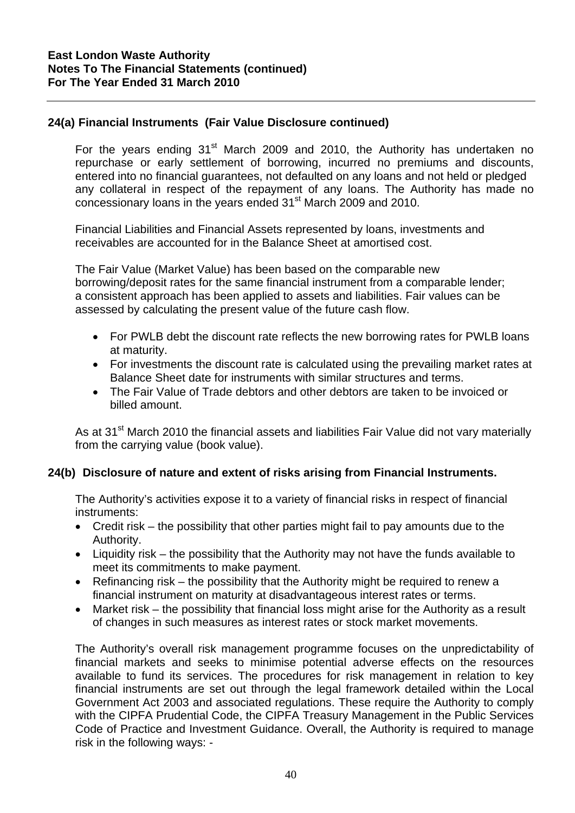### **24(a) Financial Instruments (Fair Value Disclosure continued)**

For the years ending  $31<sup>st</sup>$  March 2009 and 2010, the Authority has undertaken no repurchase or early settlement of borrowing, incurred no premiums and discounts, entered into no financial guarantees, not defaulted on any loans and not held or pledged any collateral in respect of the repayment of any loans. The Authority has made no concessionary loans in the years ended 31<sup>st</sup> March 2009 and 2010.

Financial Liabilities and Financial Assets represented by loans, investments and receivables are accounted for in the Balance Sheet at amortised cost.

The Fair Value (Market Value) has been based on the comparable new borrowing/deposit rates for the same financial instrument from a comparable lender; a consistent approach has been applied to assets and liabilities. Fair values can be assessed by calculating the present value of the future cash flow.

- For PWLB debt the discount rate reflects the new borrowing rates for PWLB loans at maturity.
- For investments the discount rate is calculated using the prevailing market rates at Balance Sheet date for instruments with similar structures and terms.
- The Fair Value of Trade debtors and other debtors are taken to be invoiced or billed amount.

As at 31<sup>st</sup> March 2010 the financial assets and liabilities Fair Value did not vary materially from the carrying value (book value).

### **24(b) Disclosure of nature and extent of risks arising from Financial Instruments.**

The Authority's activities expose it to a variety of financial risks in respect of financial instruments:

- Credit risk the possibility that other parties might fail to pay amounts due to the Authority.
- Liquidity risk the possibility that the Authority may not have the funds available to meet its commitments to make payment.
- Refinancing risk the possibility that the Authority might be required to renew a financial instrument on maturity at disadvantageous interest rates or terms.
- Market risk the possibility that financial loss might arise for the Authority as a result of changes in such measures as interest rates or stock market movements.

The Authority's overall risk management programme focuses on the unpredictability of financial markets and seeks to minimise potential adverse effects on the resources available to fund its services. The procedures for risk management in relation to key financial instruments are set out through the legal framework detailed within the Local Government Act 2003 and associated regulations. These require the Authority to comply with the CIPFA Prudential Code, the CIPFA Treasury Management in the Public Services Code of Practice and Investment Guidance. Overall, the Authority is required to manage risk in the following ways: -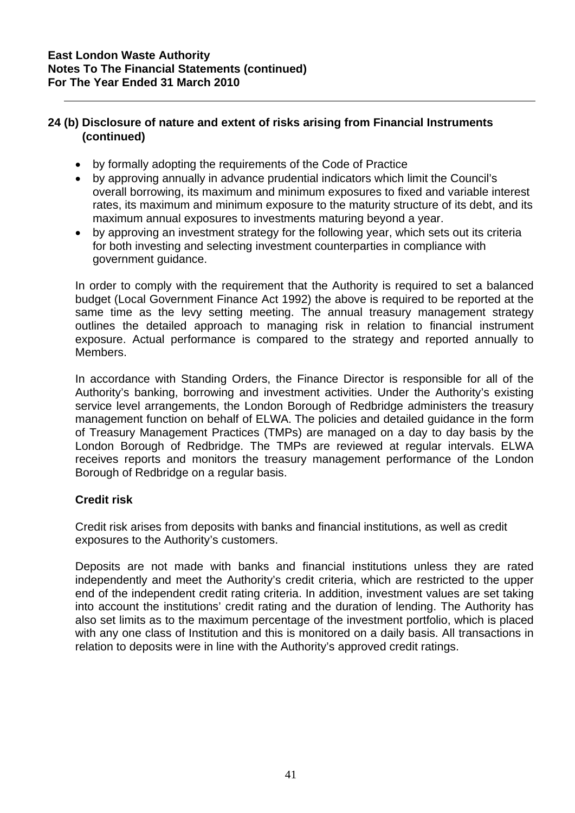- by formally adopting the requirements of the Code of Practice
- by approving annually in advance prudential indicators which limit the Council's overall borrowing, its maximum and minimum exposures to fixed and variable interest rates, its maximum and minimum exposure to the maturity structure of its debt, and its maximum annual exposures to investments maturing beyond a year.
- by approving an investment strategy for the following year, which sets out its criteria for both investing and selecting investment counterparties in compliance with government guidance.

In order to comply with the requirement that the Authority is required to set a balanced budget (Local Government Finance Act 1992) the above is required to be reported at the same time as the levy setting meeting. The annual treasury management strategy outlines the detailed approach to managing risk in relation to financial instrument exposure. Actual performance is compared to the strategy and reported annually to Members.

In accordance with Standing Orders, the Finance Director is responsible for all of the Authority's banking, borrowing and investment activities. Under the Authority's existing service level arrangements, the London Borough of Redbridge administers the treasury management function on behalf of ELWA. The policies and detailed guidance in the form of Treasury Management Practices (TMPs) are managed on a day to day basis by the London Borough of Redbridge. The TMPs are reviewed at regular intervals. ELWA receives reports and monitors the treasury management performance of the London Borough of Redbridge on a regular basis.

# **Credit risk**

Credit risk arises from deposits with banks and financial institutions, as well as credit exposures to the Authority's customers.

Deposits are not made with banks and financial institutions unless they are rated independently and meet the Authority's credit criteria, which are restricted to the upper end of the independent credit rating criteria. In addition, investment values are set taking into account the institutions' credit rating and the duration of lending. The Authority has also set limits as to the maximum percentage of the investment portfolio, which is placed with any one class of Institution and this is monitored on a daily basis. All transactions in relation to deposits were in line with the Authority's approved credit ratings.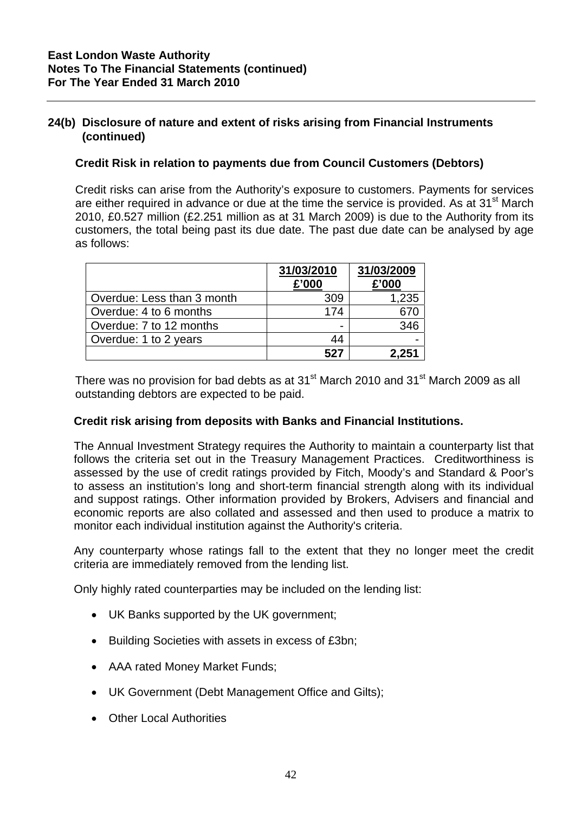### **Credit Risk in relation to payments due from Council Customers (Debtors)**

Credit risks can arise from the Authority's exposure to customers. Payments for services are either required in advance or due at the time the service is provided. As at  $31<sup>st</sup>$  March 2010, £0.527 million (£2.251 million as at 31 March 2009) is due to the Authority from its customers, the total being past its due date. The past due date can be analysed by age as follows:

|                            | 31/03/2010<br>£'000 | 31/03/2009<br>£'000 |
|----------------------------|---------------------|---------------------|
| Overdue: Less than 3 month | 309                 | 1,235               |
| Overdue: 4 to 6 months     | 174                 | 670                 |
| Overdue: 7 to 12 months    |                     | 346                 |
| Overdue: 1 to 2 years      | 44                  |                     |
|                            | 527                 | 2,251               |

There was no provision for bad debts as at  $31<sup>st</sup>$  March 2010 and  $31<sup>st</sup>$  March 2009 as all outstanding debtors are expected to be paid.

### **Credit risk arising from deposits with Banks and Financial Institutions.**

The Annual Investment Strategy requires the Authority to maintain a counterparty list that follows the criteria set out in the Treasury Management Practices. Creditworthiness is assessed by the use of credit ratings provided by Fitch, Moody's and Standard & Poor's to assess an institution's long and short-term financial strength along with its individual and suppost ratings. Other information provided by Brokers, Advisers and financial and economic reports are also collated and assessed and then used to produce a matrix to monitor each individual institution against the Authority's criteria.

Any counterparty whose ratings fall to the extent that they no longer meet the credit criteria are immediately removed from the lending list.

Only highly rated counterparties may be included on the lending list:

- UK Banks supported by the UK government;
- Building Societies with assets in excess of £3bn;
- AAA rated Money Market Funds;
- UK Government (Debt Management Office and Gilts);
- Other Local Authorities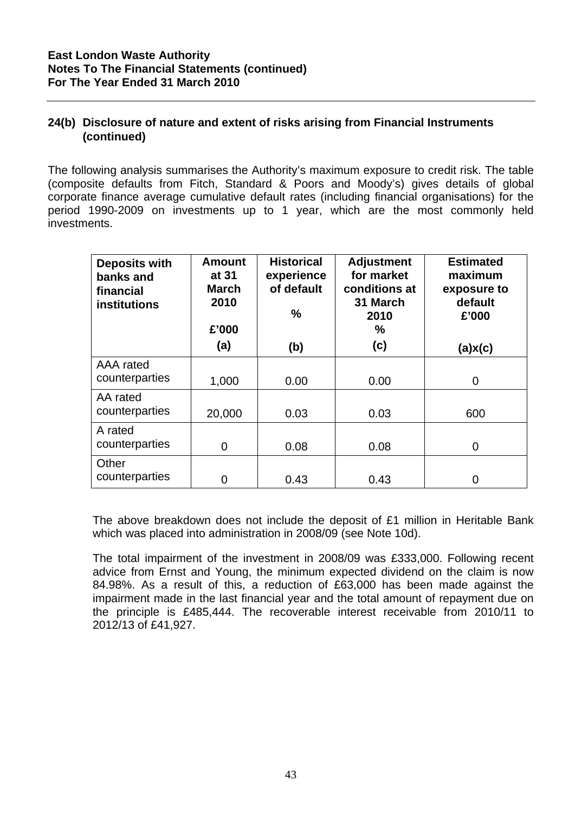The following analysis summarises the Authority's maximum exposure to credit risk. The table (composite defaults from Fitch, Standard & Poors and Moody's) gives details of global corporate finance average cumulative default rates (including financial organisations) for the period 1990-2009 on investments up to 1 year, which are the most commonly held investments.

| <b>Deposits with</b><br>banks and<br>financial<br>institutions | <b>Amount</b><br>at 31<br>March<br>2010<br>£'000<br>(a) | <b>Historical</b><br>experience<br>of default<br>$\frac{9}{6}$<br>(b) | <b>Adjustment</b><br>for market<br>conditions at<br>31 March<br>2010<br>%<br>(c) | <b>Estimated</b><br>maximum<br>exposure to<br>default<br>£'000<br>(a)x(c) |
|----------------------------------------------------------------|---------------------------------------------------------|-----------------------------------------------------------------------|----------------------------------------------------------------------------------|---------------------------------------------------------------------------|
| AAA rated                                                      |                                                         |                                                                       |                                                                                  |                                                                           |
| counterparties                                                 | 1,000                                                   | 0.00                                                                  | 0.00                                                                             | 0                                                                         |
| AA rated                                                       |                                                         |                                                                       |                                                                                  |                                                                           |
| counterparties                                                 | 20,000                                                  | 0.03                                                                  | 0.03                                                                             | 600                                                                       |
| A rated                                                        |                                                         |                                                                       |                                                                                  |                                                                           |
| counterparties                                                 | $\overline{0}$                                          | 0.08                                                                  | 0.08                                                                             | 0                                                                         |
| Other                                                          |                                                         |                                                                       |                                                                                  |                                                                           |
| counterparties                                                 | $\overline{0}$                                          | 0.43                                                                  | 0.43                                                                             | 0                                                                         |

The above breakdown does not include the deposit of £1 million in Heritable Bank which was placed into administration in 2008/09 (see Note 10d).

The total impairment of the investment in 2008/09 was £333,000. Following recent advice from Ernst and Young, the minimum expected dividend on the claim is now 84.98%. As a result of this, a reduction of £63,000 has been made against the impairment made in the last financial year and the total amount of repayment due on the principle is £485,444. The recoverable interest receivable from 2010/11 to 2012/13 of £41,927.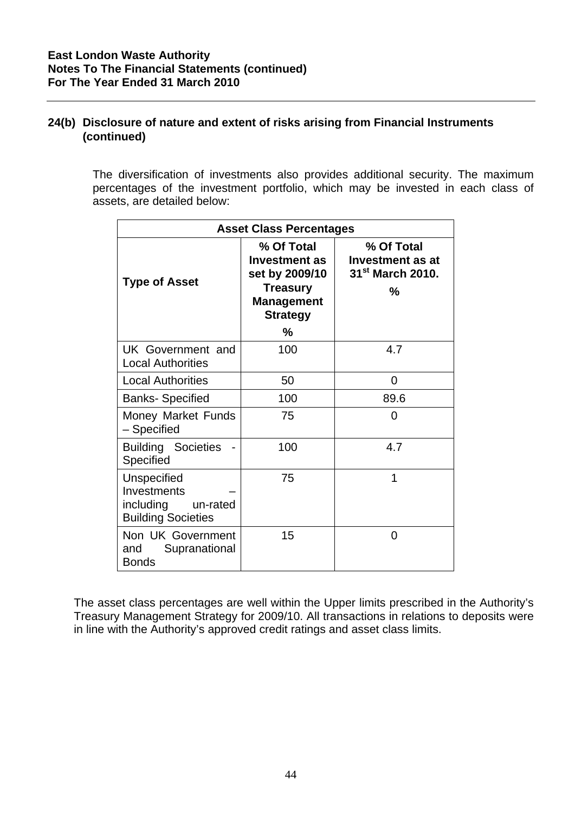The diversification of investments also provides additional security. The maximum percentages of the investment portfolio, which may be invested in each class of assets, are detailed below:

| <b>Asset Class Percentages</b>                                                   |                                                                                                                 |      |  |  |  |
|----------------------------------------------------------------------------------|-----------------------------------------------------------------------------------------------------------------|------|--|--|--|
| <b>Type of Asset</b>                                                             | % Of Total<br><b>Investment as</b><br>set by 2009/10<br><b>Treasury</b><br><b>Management</b><br><b>Strategy</b> |      |  |  |  |
|                                                                                  | $\%$                                                                                                            |      |  |  |  |
| UK Government and<br><b>Local Authorities</b>                                    | 100                                                                                                             | 4.7  |  |  |  |
| <b>Local Authorities</b>                                                         | 50                                                                                                              | 0    |  |  |  |
| <b>Banks- Specified</b>                                                          | 100                                                                                                             | 89.6 |  |  |  |
| Money Market Funds<br>- Specified                                                | 75                                                                                                              | 0    |  |  |  |
| <b>Building Societies</b><br>Specified                                           | 100                                                                                                             | 4.7  |  |  |  |
| Unspecified<br>Investments<br>including<br>un-rated<br><b>Building Societies</b> | 75                                                                                                              | 1    |  |  |  |
| Non UK Government<br>Supranational<br>and<br><b>Bonds</b>                        | 15                                                                                                              | 0    |  |  |  |

The asset class percentages are well within the Upper limits prescribed in the Authority's Treasury Management Strategy for 2009/10. All transactions in relations to deposits were in line with the Authority's approved credit ratings and asset class limits.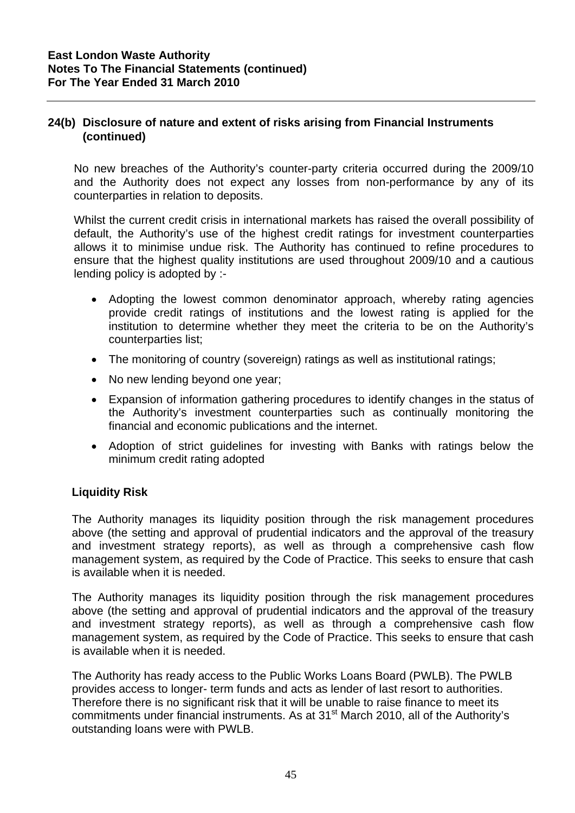No new breaches of the Authority's counter-party criteria occurred during the 2009/10 and the Authority does not expect any losses from non-performance by any of its counterparties in relation to deposits.

Whilst the current credit crisis in international markets has raised the overall possibility of default, the Authority's use of the highest credit ratings for investment counterparties allows it to minimise undue risk. The Authority has continued to refine procedures to ensure that the highest quality institutions are used throughout 2009/10 and a cautious lending policy is adopted by :-

- Adopting the lowest common denominator approach, whereby rating agencies provide credit ratings of institutions and the lowest rating is applied for the institution to determine whether they meet the criteria to be on the Authority's counterparties list;
- The monitoring of country (sovereign) ratings as well as institutional ratings;
- No new lending beyond one year;
- Expansion of information gathering procedures to identify changes in the status of the Authority's investment counterparties such as continually monitoring the financial and economic publications and the internet.
- Adoption of strict guidelines for investing with Banks with ratings below the minimum credit rating adopted

### **Liquidity Risk**

The Authority manages its liquidity position through the risk management procedures above (the setting and approval of prudential indicators and the approval of the treasury and investment strategy reports), as well as through a comprehensive cash flow management system, as required by the Code of Practice. This seeks to ensure that cash is available when it is needed.

The Authority manages its liquidity position through the risk management procedures above (the setting and approval of prudential indicators and the approval of the treasury and investment strategy reports), as well as through a comprehensive cash flow management system, as required by the Code of Practice. This seeks to ensure that cash is available when it is needed.

The Authority has ready access to the Public Works Loans Board (PWLB). The PWLB provides access to longer- term funds and acts as lender of last resort to authorities. Therefore there is no significant risk that it will be unable to raise finance to meet its commitments under financial instruments. As at 31<sup>st</sup> March 2010, all of the Authority's outstanding loans were with PWLB.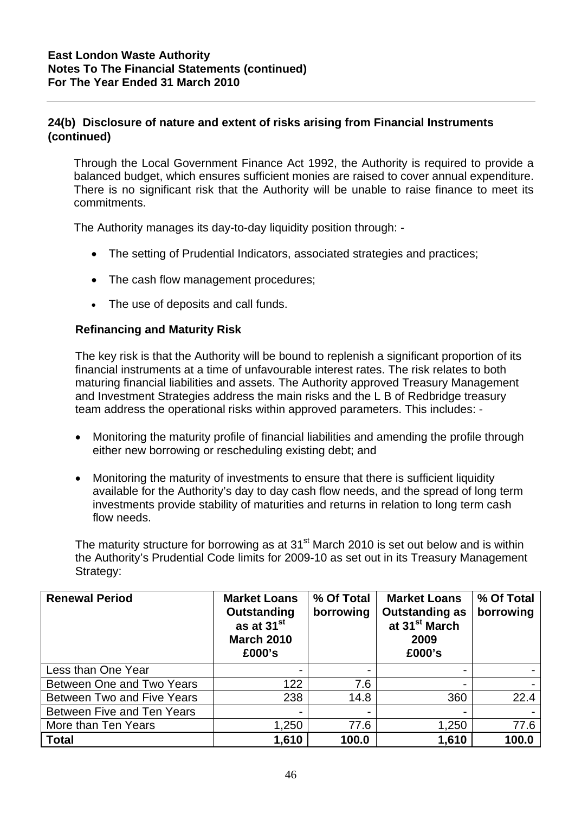Through the Local Government Finance Act 1992, the Authority is required to provide a balanced budget, which ensures sufficient monies are raised to cover annual expenditure. There is no significant risk that the Authority will be unable to raise finance to meet its commitments.

The Authority manages its day-to-day liquidity position through: -

- The setting of Prudential Indicators, associated strategies and practices;
- The cash flow management procedures;
- The use of deposits and call funds.

### **Refinancing and Maturity Risk**

The key risk is that the Authority will be bound to replenish a significant proportion of its financial instruments at a time of unfavourable interest rates. The risk relates to both maturing financial liabilities and assets. The Authority approved Treasury Management and Investment Strategies address the main risks and the L B of Redbridge treasury team address the operational risks within approved parameters. This includes: -

- Monitoring the maturity profile of financial liabilities and amending the profile through either new borrowing or rescheduling existing debt; and
- Monitoring the maturity of investments to ensure that there is sufficient liquidity available for the Authority's day to day cash flow needs, and the spread of long term investments provide stability of maturities and returns in relation to long term cash flow needs.

The maturity structure for borrowing as at  $31<sup>st</sup>$  March 2010 is set out below and is within the Authority's Prudential Code limits for 2009-10 as set out in its Treasury Management Strategy:

| <b>Renewal Period</b>      | <b>Market Loans</b><br>Outstanding<br>as at 31 <sup>st</sup><br><b>March 2010</b><br>£000's | % Of Total<br>borrowing  | <b>Market Loans</b><br><b>Outstanding as</b><br>at 31 <sup>st</sup> March<br>2009<br>£000's | % Of Total<br>borrowing |
|----------------------------|---------------------------------------------------------------------------------------------|--------------------------|---------------------------------------------------------------------------------------------|-------------------------|
| Less than One Year         |                                                                                             | $\overline{\phantom{0}}$ |                                                                                             |                         |
| Between One and Two Years  | 122                                                                                         | 7.6                      |                                                                                             |                         |
| Between Two and Five Years | 238                                                                                         | 14.8                     | 360                                                                                         | 22.4                    |
| Between Five and Ten Years |                                                                                             |                          |                                                                                             |                         |
| More than Ten Years        | 1,250                                                                                       | 77.6                     | 1,250                                                                                       | 77.6                    |
| <b>Total</b>               | 1,610                                                                                       | 100.0                    | 1,610                                                                                       | 100.0                   |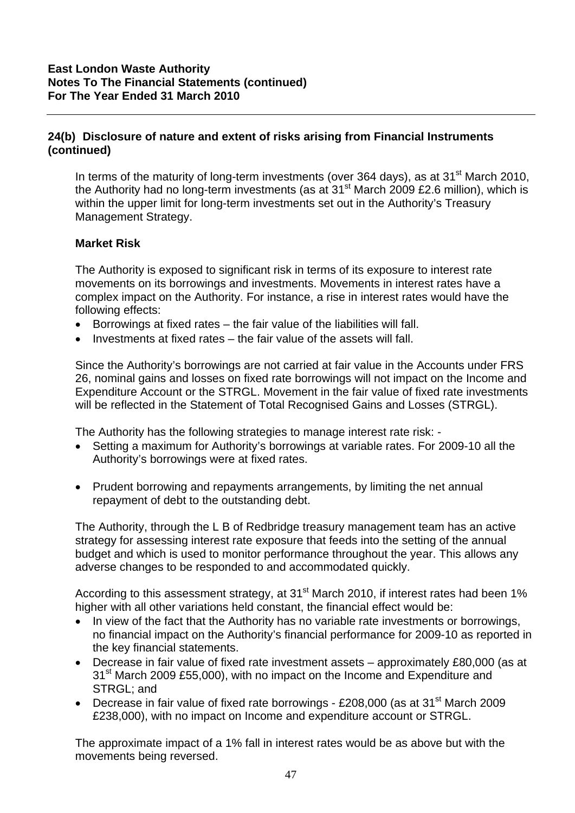In terms of the maturity of long-term investments (over 364 days), as at  $31<sup>st</sup>$  March 2010, the Authority had no long-term investments (as at  $31<sup>st</sup>$  March 2009 £2.6 million), which is within the upper limit for long-term investments set out in the Authority's Treasury Management Strategy.

### **Market Risk**

The Authority is exposed to significant risk in terms of its exposure to interest rate movements on its borrowings and investments. Movements in interest rates have a complex impact on the Authority. For instance, a rise in interest rates would have the following effects:

- Borrowings at fixed rates the fair value of the liabilities will fall.
- Investments at fixed rates the fair value of the assets will fall.

Since the Authority's borrowings are not carried at fair value in the Accounts under FRS 26, nominal gains and losses on fixed rate borrowings will not impact on the Income and Expenditure Account or the STRGL. Movement in the fair value of fixed rate investments will be reflected in the Statement of Total Recognised Gains and Losses (STRGL).

The Authority has the following strategies to manage interest rate risk: -

- Setting a maximum for Authority's borrowings at variable rates. For 2009-10 all the Authority's borrowings were at fixed rates.
- Prudent borrowing and repayments arrangements, by limiting the net annual repayment of debt to the outstanding debt.

The Authority, through the L B of Redbridge treasury management team has an active strategy for assessing interest rate exposure that feeds into the setting of the annual budget and which is used to monitor performance throughout the year. This allows any adverse changes to be responded to and accommodated quickly.

According to this assessment strategy, at 31<sup>st</sup> March 2010, if interest rates had been 1% higher with all other variations held constant, the financial effect would be:

- In view of the fact that the Authority has no variable rate investments or borrowings, no financial impact on the Authority's financial performance for 2009-10 as reported in the key financial statements.
- Decrease in fair value of fixed rate investment assets approximately £80,000 (as at 31<sup>st</sup> March 2009 £55,000), with no impact on the Income and Expenditure and STRGL; and
- Decrease in fair value of fixed rate borrowings £208,000 (as at  $31<sup>st</sup>$  March 2009 £238,000), with no impact on Income and expenditure account or STRGL.

The approximate impact of a 1% fall in interest rates would be as above but with the movements being reversed.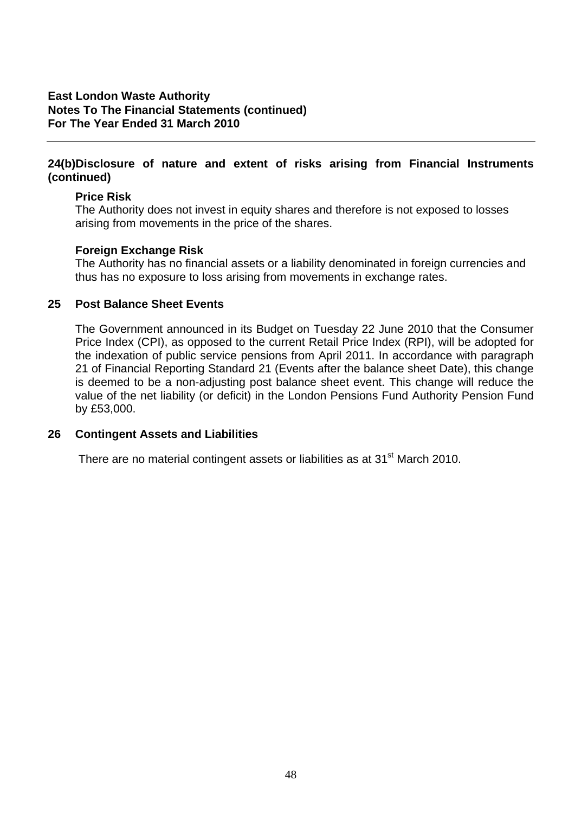### **East London Waste Authority Notes To The Financial Statements (continued) For The Year Ended 31 March 2010**

### **24(b)Disclosure of nature and extent of risks arising from Financial Instruments (continued)**

### **Price Risk**

The Authority does not invest in equity shares and therefore is not exposed to losses arising from movements in the price of the shares.

### **Foreign Exchange Risk**

The Authority has no financial assets or a liability denominated in foreign currencies and thus has no exposure to loss arising from movements in exchange rates.

### **25 Post Balance Sheet Events**

The Government announced in its Budget on Tuesday 22 June 2010 that the Consumer Price Index (CPI), as opposed to the current Retail Price Index (RPI), will be adopted for the indexation of public service pensions from April 2011. In accordance with paragraph 21 of Financial Reporting Standard 21 (Events after the balance sheet Date), this change is deemed to be a non-adjusting post balance sheet event. This change will reduce the value of the net liability (or deficit) in the London Pensions Fund Authority Pension Fund by £53,000.

### **26 Contingent Assets and Liabilities**

There are no material contingent assets or liabilities as at 31<sup>st</sup> March 2010.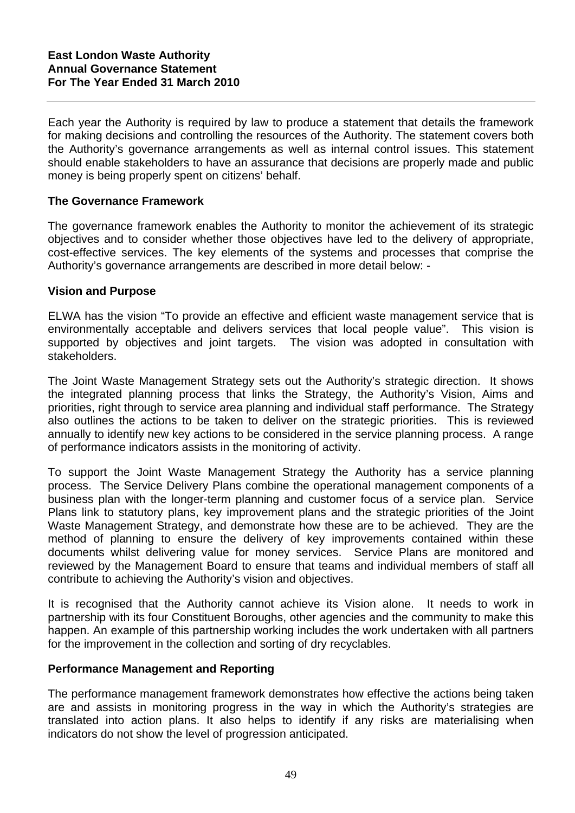Each year the Authority is required by law to produce a statement that details the framework for making decisions and controlling the resources of the Authority. The statement covers both the Authority's governance arrangements as well as internal control issues. This statement should enable stakeholders to have an assurance that decisions are properly made and public money is being properly spent on citizens' behalf.

### **The Governance Framework**

The governance framework enables the Authority to monitor the achievement of its strategic objectives and to consider whether those objectives have led to the delivery of appropriate, cost-effective services. The key elements of the systems and processes that comprise the Authority's governance arrangements are described in more detail below: -

### **Vision and Purpose**

ELWA has the vision "To provide an effective and efficient waste management service that is environmentally acceptable and delivers services that local people value". This vision is supported by objectives and joint targets. The vision was adopted in consultation with stakeholders.

The Joint Waste Management Strategy sets out the Authority's strategic direction. It shows the integrated planning process that links the Strategy, the Authority's Vision, Aims and priorities, right through to service area planning and individual staff performance. The Strategy also outlines the actions to be taken to deliver on the strategic priorities. This is reviewed annually to identify new key actions to be considered in the service planning process. A range of performance indicators assists in the monitoring of activity.

To support the Joint Waste Management Strategy the Authority has a service planning process. The Service Delivery Plans combine the operational management components of a business plan with the longer-term planning and customer focus of a service plan. Service Plans link to statutory plans, key improvement plans and the strategic priorities of the Joint Waste Management Strategy, and demonstrate how these are to be achieved. They are the method of planning to ensure the delivery of key improvements contained within these documents whilst delivering value for money services. Service Plans are monitored and reviewed by the Management Board to ensure that teams and individual members of staff all contribute to achieving the Authority's vision and objectives.

It is recognised that the Authority cannot achieve its Vision alone. It needs to work in partnership with its four Constituent Boroughs, other agencies and the community to make this happen. An example of this partnership working includes the work undertaken with all partners for the improvement in the collection and sorting of dry recyclables.

### **Performance Management and Reporting**

The performance management framework demonstrates how effective the actions being taken are and assists in monitoring progress in the way in which the Authority's strategies are translated into action plans. It also helps to identify if any risks are materialising when indicators do not show the level of progression anticipated.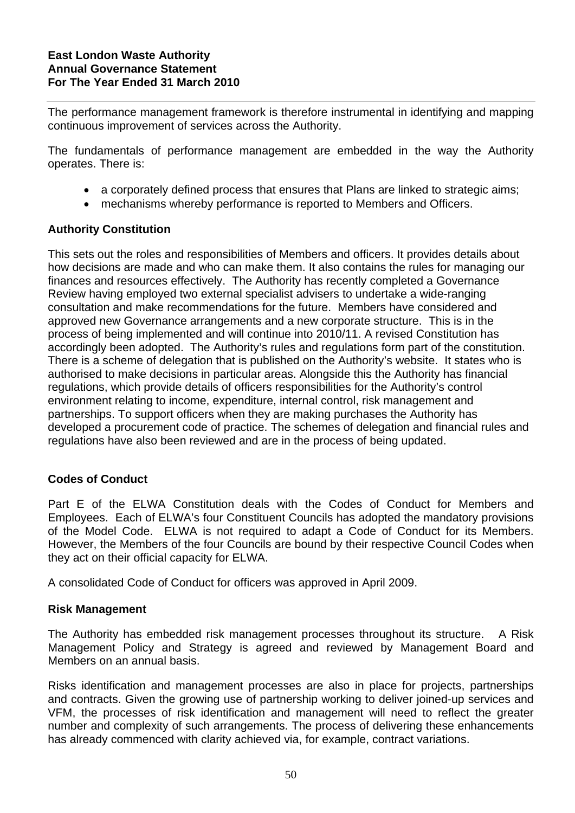The performance management framework is therefore instrumental in identifying and mapping continuous improvement of services across the Authority.

The fundamentals of performance management are embedded in the way the Authority operates. There is:

- a corporately defined process that ensures that Plans are linked to strategic aims;
- mechanisms whereby performance is reported to Members and Officers.

### **Authority Constitution**

This sets out the roles and responsibilities of Members and officers. It provides details about how decisions are made and who can make them. It also contains the rules for managing our finances and resources effectively. The Authority has recently completed a Governance Review having employed two external specialist advisers to undertake a wide-ranging consultation and make recommendations for the future. Members have considered and approved new Governance arrangements and a new corporate structure. This is in the process of being implemented and will continue into 2010/11. A revised Constitution has accordingly been adopted. The Authority's rules and regulations form part of the constitution. There is a scheme of delegation that is published on the Authority's website. It states who is authorised to make decisions in particular areas. Alongside this the Authority has financial regulations, which provide details of officers responsibilities for the Authority's control environment relating to income, expenditure, internal control, risk management and partnerships. To support officers when they are making purchases the Authority has developed a procurement code of practice. The schemes of delegation and financial rules and regulations have also been reviewed and are in the process of being updated.

# **Codes of Conduct**

Part E of the ELWA Constitution deals with the Codes of Conduct for Members and Employees. Each of ELWA's four Constituent Councils has adopted the mandatory provisions of the Model Code. ELWA is not required to adapt a Code of Conduct for its Members. However, the Members of the four Councils are bound by their respective Council Codes when they act on their official capacity for ELWA.

A consolidated Code of Conduct for officers was approved in April 2009.

### **Risk Management**

The Authority has embedded risk management processes throughout its structure. A Risk Management Policy and Strategy is agreed and reviewed by Management Board and Members on an annual basis.

Risks identification and management processes are also in place for projects, partnerships and contracts. Given the growing use of partnership working to deliver joined-up services and VFM, the processes of risk identification and management will need to reflect the greater number and complexity of such arrangements. The process of delivering these enhancements has already commenced with clarity achieved via, for example, contract variations.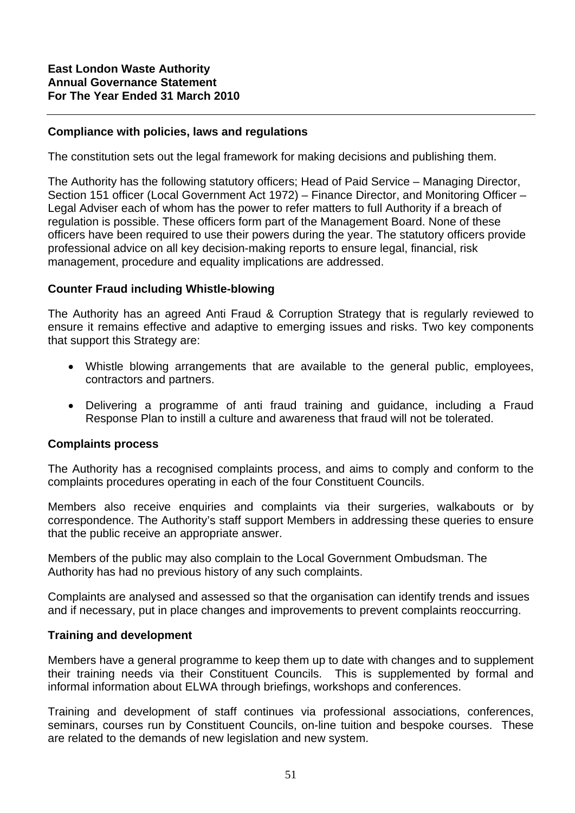### **Compliance with policies, laws and regulations**

The constitution sets out the legal framework for making decisions and publishing them.

The Authority has the following statutory officers; Head of Paid Service – Managing Director, Section 151 officer (Local Government Act 1972) – Finance Director, and Monitoring Officer – Legal Adviser each of whom has the power to refer matters to full Authority if a breach of regulation is possible. These officers form part of the Management Board. None of these officers have been required to use their powers during the year. The statutory officers provide professional advice on all key decision-making reports to ensure legal, financial, risk management, procedure and equality implications are addressed.

### **Counter Fraud including Whistle-blowing**

The Authority has an agreed Anti Fraud & Corruption Strategy that is regularly reviewed to ensure it remains effective and adaptive to emerging issues and risks. Two key components that support this Strategy are:

- Whistle blowing arrangements that are available to the general public, employees, contractors and partners.
- Delivering a programme of anti fraud training and guidance, including a Fraud Response Plan to instill a culture and awareness that fraud will not be tolerated.

### **Complaints process**

The Authority has a recognised complaints process, and aims to comply and conform to the complaints procedures operating in each of the four Constituent Councils.

Members also receive enquiries and complaints via their surgeries, walkabouts or by correspondence. The Authority's staff support Members in addressing these queries to ensure that the public receive an appropriate answer.

Members of the public may also complain to the Local Government Ombudsman. The Authority has had no previous history of any such complaints.

Complaints are analysed and assessed so that the organisation can identify trends and issues and if necessary, put in place changes and improvements to prevent complaints reoccurring.

### **Training and development**

Members have a general programme to keep them up to date with changes and to supplement their training needs via their Constituent Councils. This is supplemented by formal and informal information about ELWA through briefings, workshops and conferences.

Training and development of staff continues via professional associations, conferences, seminars, courses run by Constituent Councils, on-line tuition and bespoke courses. These are related to the demands of new legislation and new system.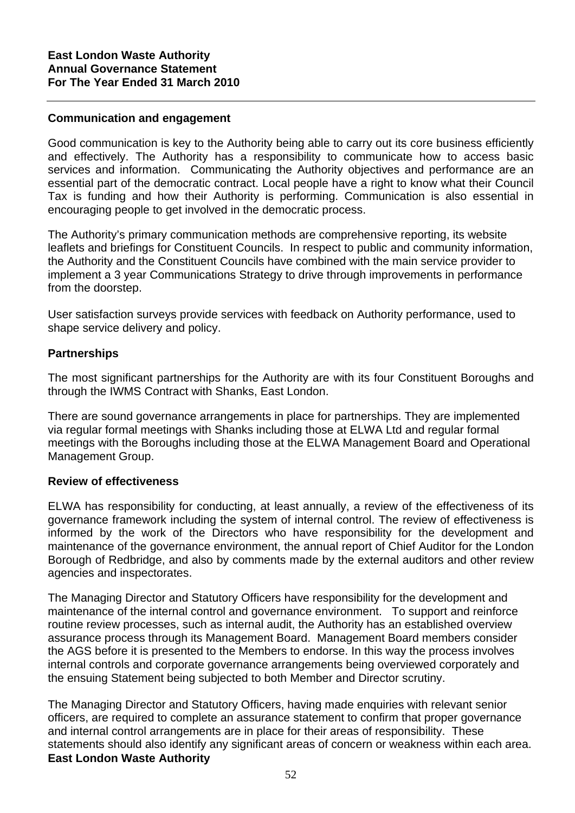### **Communication and engagement**

Good communication is key to the Authority being able to carry out its core business efficiently and effectively. The Authority has a responsibility to communicate how to access basic services and information. Communicating the Authority objectives and performance are an essential part of the democratic contract. Local people have a right to know what their Council Tax is funding and how their Authority is performing. Communication is also essential in encouraging people to get involved in the democratic process.

The Authority's primary communication methods are comprehensive reporting, its website leaflets and briefings for Constituent Councils. In respect to public and community information, the Authority and the Constituent Councils have combined with the main service provider to implement a 3 year Communications Strategy to drive through improvements in performance from the doorstep.

User satisfaction surveys provide services with feedback on Authority performance, used to shape service delivery and policy.

### **Partnerships**

The most significant partnerships for the Authority are with its four Constituent Boroughs and through the IWMS Contract with Shanks, East London.

There are sound governance arrangements in place for partnerships. They are implemented via regular formal meetings with Shanks including those at ELWA Ltd and regular formal meetings with the Boroughs including those at the ELWA Management Board and Operational Management Group.

### **Review of effectiveness**

ELWA has responsibility for conducting, at least annually, a review of the effectiveness of its governance framework including the system of internal control. The review of effectiveness is informed by the work of the Directors who have responsibility for the development and maintenance of the governance environment, the annual report of Chief Auditor for the London Borough of Redbridge, and also by comments made by the external auditors and other review agencies and inspectorates.

The Managing Director and Statutory Officers have responsibility for the development and maintenance of the internal control and governance environment. To support and reinforce routine review processes, such as internal audit, the Authority has an established overview assurance process through its Management Board. Management Board members consider the AGS before it is presented to the Members to endorse. In this way the process involves internal controls and corporate governance arrangements being overviewed corporately and the ensuing Statement being subjected to both Member and Director scrutiny.

The Managing Director and Statutory Officers, having made enquiries with relevant senior officers, are required to complete an assurance statement to confirm that proper governance and internal control arrangements are in place for their areas of responsibility. These statements should also identify any significant areas of concern or weakness within each area. **East London Waste Authority**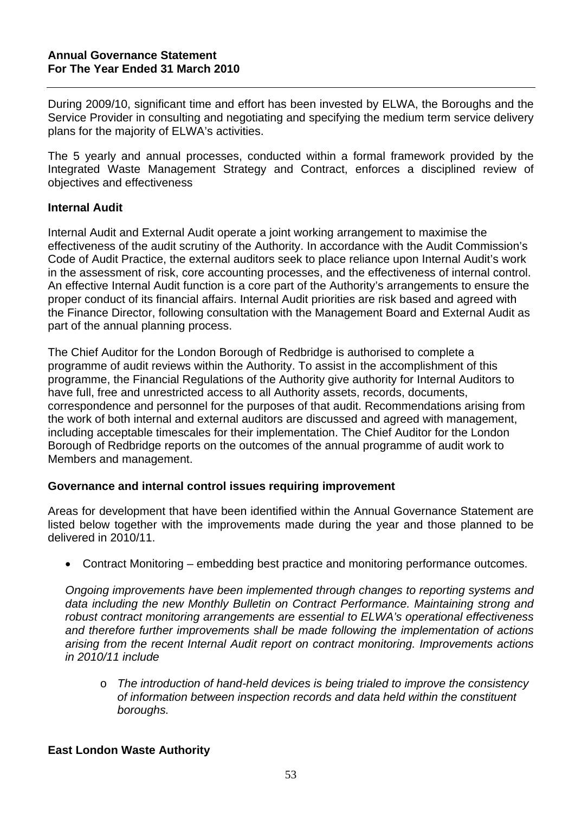During 2009/10, significant time and effort has been invested by ELWA, the Boroughs and the Service Provider in consulting and negotiating and specifying the medium term service delivery plans for the majority of ELWA's activities.

The 5 yearly and annual processes, conducted within a formal framework provided by the Integrated Waste Management Strategy and Contract, enforces a disciplined review of objectives and effectiveness

### **Internal Audit**

Internal Audit and External Audit operate a joint working arrangement to maximise the effectiveness of the audit scrutiny of the Authority. In accordance with the Audit Commission's Code of Audit Practice, the external auditors seek to place reliance upon Internal Audit's work in the assessment of risk, core accounting processes, and the effectiveness of internal control. An effective Internal Audit function is a core part of the Authority's arrangements to ensure the proper conduct of its financial affairs. Internal Audit priorities are risk based and agreed with the Finance Director, following consultation with the Management Board and External Audit as part of the annual planning process.

The Chief Auditor for the London Borough of Redbridge is authorised to complete a programme of audit reviews within the Authority. To assist in the accomplishment of this programme, the Financial Regulations of the Authority give authority for Internal Auditors to have full, free and unrestricted access to all Authority assets, records, documents, correspondence and personnel for the purposes of that audit. Recommendations arising from the work of both internal and external auditors are discussed and agreed with management, including acceptable timescales for their implementation. The Chief Auditor for the London Borough of Redbridge reports on the outcomes of the annual programme of audit work to Members and management.

# **Governance and internal control issues requiring improvement**

Areas for development that have been identified within the Annual Governance Statement are listed below together with the improvements made during the year and those planned to be delivered in 2010/11.

Contract Monitoring – embedding best practice and monitoring performance outcomes.

*Ongoing improvements have been implemented through changes to reporting systems and data including the new Monthly Bulletin on Contract Performance. Maintaining strong and robust contract monitoring arrangements are essential to ELWA's operational effectiveness and therefore further improvements shall be made following the implementation of actions arising from the recent Internal Audit report on contract monitoring. Improvements actions in 2010/11 include* 

o *The introduction of hand-held devices is being trialed to improve the consistency of information between inspection records and data held within the constituent boroughs.* 

### **East London Waste Authority**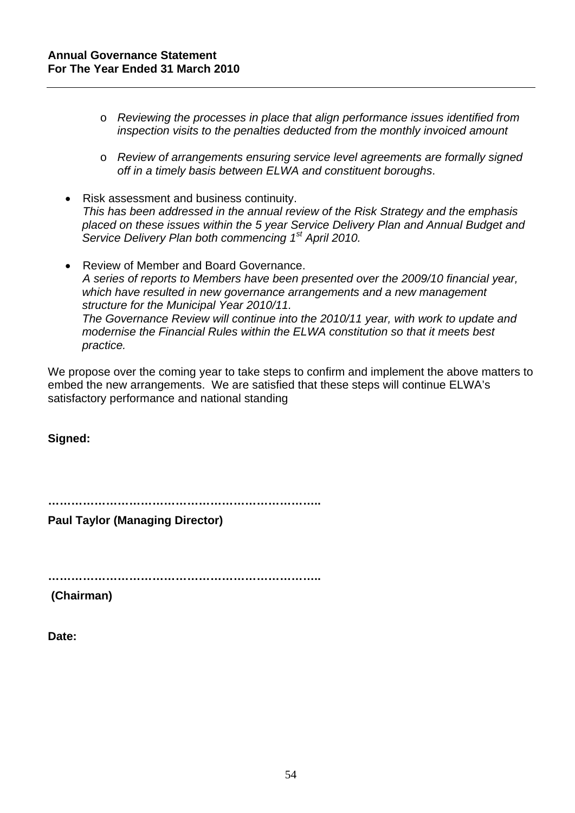- o *Reviewing the processes in place that align performance issues identified from inspection visits to the penalties deducted from the monthly invoiced amount*
- o *Review of arrangements ensuring service level agreements are formally signed off in a timely basis between ELWA and constituent boroughs*.
- Risk assessment and business continuity. *This has been addressed in the annual review of the Risk Strategy and the emphasis placed on these issues within the 5 year Service Delivery Plan and Annual Budget and Service Delivery Plan both commencing 1st April 2010.*
- Review of Member and Board Governance. *A series of reports to Members have been presented over the 2009/10 financial year, which have resulted in new governance arrangements and a new management structure for the Municipal Year 2010/11. The Governance Review will continue into the 2010/11 year, with work to update and modernise the Financial Rules within the ELWA constitution so that it meets best practice.*

We propose over the coming year to take steps to confirm and implement the above matters to embed the new arrangements. We are satisfied that these steps will continue ELWA's satisfactory performance and national standing

**Signed:** 

**……………………………………………………………..** 

**Paul Taylor (Managing Director)** 

**……………………………………………………………..** 

 **(Chairman)** 

**Date:**